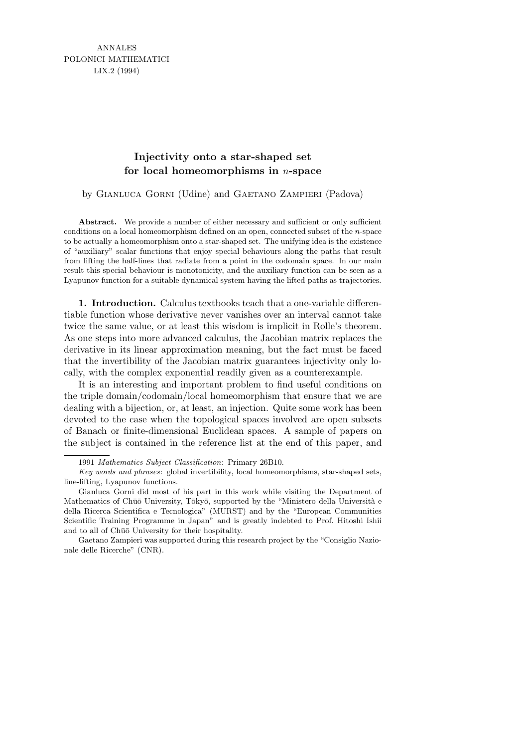ANNALES POLONICI MATHEMATICI LIX.2 (1994)

## **Injectivity onto a star-shaped set for local homeomorphisms in** n**-space**

by GIANLUCA GORNI (Udine) and GAETANO ZAMPIERI (Padova)

Abstract. We provide a number of either necessary and sufficient or only sufficient conditions on a local homeomorphism defined on an open, connected subset of the *n*-space to be actually a homeomorphism onto a star-shaped set. The unifying idea is the existence of "auxiliary" scalar functions that enjoy special behaviours along the paths that result from lifting the half-lines that radiate from a point in the codomain space. In our main result this special behaviour is monotonicity, and the auxiliary function can be seen as a Lyapunov function for a suitable dynamical system having the lifted paths as trajectories.

1. Introduction. Calculus textbooks teach that a one-variable differentiable function whose derivative never vanishes over an interval cannot take twice the same value, or at least this wisdom is implicit in Rolle's theorem. As one steps into more advanced calculus, the Jacobian matrix replaces the derivative in its linear approximation meaning, but the fact must be faced that the invertibility of the Jacobian matrix guarantees injectivity only locally, with the complex exponential readily given as a counterexample.

It is an interesting and important problem to find useful conditions on the triple domain/codomain/local homeomorphism that ensure that we are dealing with a bijection, or, at least, an injection. Quite some work has been devoted to the case when the topological spaces involved are open subsets of Banach or finite-dimensional Euclidean spaces. A sample of papers on the subject is contained in the reference list at the end of this paper, and

<sup>1991</sup> *Mathematics Subject Classification*: Primary 26B10.

*Key words and phrases*: global invertibility, local homeomorphisms, star-shaped sets, line-lifting, Lyapunov functions.

Gianluca Gorni did most of his part in this work while visiting the Department of Mathematics of Chūō University, Tōkyō, supported by the "Ministero della Università e della Ricerca Scientifica e Tecnologica" (MURST) and by the "European Communities Scientific Training Programme in Japan" and is greatly indebted to Prof. Hitoshi Ishii and to all of Chūō University for their hospitality.

Gaetano Zampieri was supported during this research project by the "Consiglio Nazionale delle Ricerche" (CNR).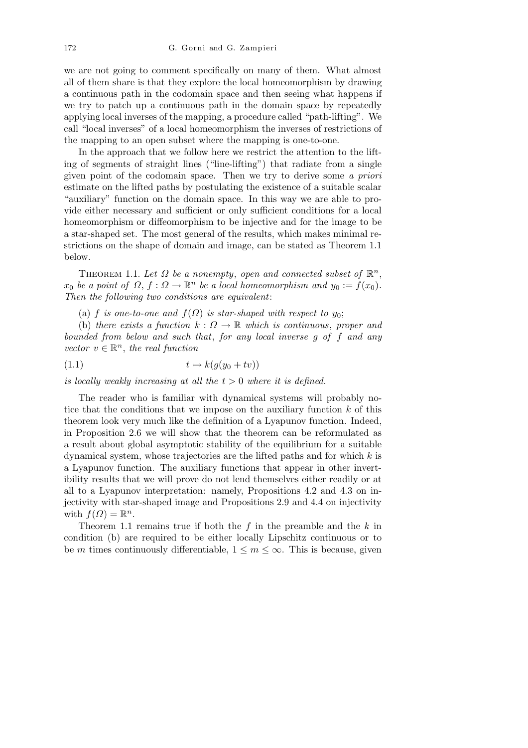we are not going to comment specifically on many of them. What almost all of them share is that they explore the local homeomorphism by drawing a continuous path in the codomain space and then seeing what happens if we try to patch up a continuous path in the domain space by repeatedly applying local inverses of the mapping, a procedure called "path-lifting". We call "local inverses" of a local homeomorphism the inverses of restrictions of the mapping to an open subset where the mapping is one-to-one.

In the approach that we follow here we restrict the attention to the lifting of segments of straight lines ("line-lifting") that radiate from a single given point of the codomain space. Then we try to derive some a priori estimate on the lifted paths by postulating the existence of a suitable scalar "auxiliary" function on the domain space. In this way we are able to provide either necessary and sufficient or only sufficient conditions for a local homeomorphism or diffeomorphism to be injective and for the image to be a star-shaped set. The most general of the results, which makes minimal restrictions on the shape of domain and image, can be stated as Theorem 1.1 below.

THEOREM 1.1. Let  $\Omega$  be a nonempty, open and connected subset of  $\mathbb{R}^n$ ,  $x_0$  be a point of  $\Omega$ ,  $f: \Omega \to \mathbb{R}^n$  be a local homeomorphism and  $y_0 := f(x_0)$ . Then the following two conditions are equivalent:

(a) f is one-to-one and  $f(\Omega)$  is star-shaped with respect to  $y_0$ ;

(b) there exists a function  $k: \Omega \to \mathbb{R}$  which is continuous, proper and bounded from below and such that, for any local inverse g of f and any vector  $v \in \mathbb{R}^n$ , the real function

$$
(1.1) \t t \mapsto k(g(y_0 + tv))
$$

is locally weakly increasing at all the  $t > 0$  where it is defined.

The reader who is familiar with dynamical systems will probably notice that the conditions that we impose on the auxiliary function  $k$  of this theorem look very much like the definition of a Lyapunov function. Indeed, in Proposition 2.6 we will show that the theorem can be reformulated as a result about global asymptotic stability of the equilibrium for a suitable dynamical system, whose trajectories are the lifted paths and for which  $k$  is a Lyapunov function. The auxiliary functions that appear in other invertibility results that we will prove do not lend themselves either readily or at all to a Lyapunov interpretation: namely, Propositions 4.2 and 4.3 on injectivity with star-shaped image and Propositions 2.9 and 4.4 on injectivity with  $f(\Omega) = \mathbb{R}^n$ .

Theorem 1.1 remains true if both the  $f$  in the preamble and the  $k$  in condition (b) are required to be either locally Lipschitz continuous or to be m times continuously differentiable,  $1 \leq m \leq \infty$ . This is because, given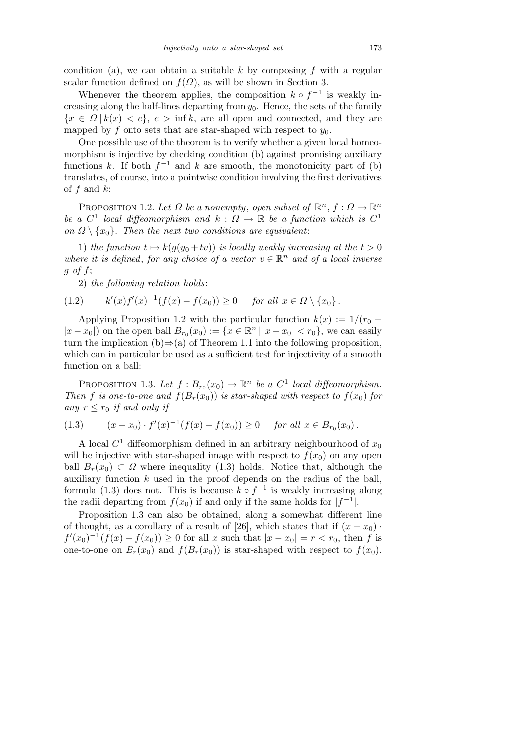condition (a), we can obtain a suitable  $k$  by composing  $f$  with a regular scalar function defined on  $f(\Omega)$ , as will be shown in Section 3.

Whenever the theorem applies, the composition  $k \circ f^{-1}$  is weakly increasing along the half-lines departing from  $y_0$ . Hence, the sets of the family  ${x \in \Omega | k(x) < c}, c > \inf k$ , are all open and connected, and they are mapped by f onto sets that are star-shaped with respect to  $y_0$ .

One possible use of the theorem is to verify whether a given local homeomorphism is injective by checking condition (b) against promising auxiliary functions k. If both  $f^{-1}$  and k are smooth, the monotonicity part of (b) translates, of course, into a pointwise condition involving the first derivatives of  $f$  and  $k$ :

PROPOSITION 1.2. Let  $\Omega$  be a nonempty, open subset of  $\mathbb{R}^n$ ,  $f: \Omega \to \mathbb{R}^n$ be a  $C^1$  local diffeomorphism and  $k : \Omega \to \mathbb{R}$  be a function which is  $C^1$ on  $\Omega \setminus \{x_0\}$ . Then the next two conditions are equivalent:

1) the function  $t \mapsto k(g(y_0 + tv))$  is locally weakly increasing at the  $t > 0$ where it is defined, for any choice of a vector  $v \in \mathbb{R}^n$  and of a local inverse  $g \text{ of } f$ ;

2) the following relation holds:

$$
(1.2) \t k'(x)f'(x)^{-1}(f(x) - f(x_0)) \ge 0 \t \text{for all } x \in \Omega \setminus \{x_0\}.
$$

Applying Proposition 1.2 with the particular function  $k(x) := 1/(r_0 |x-x_0|$  on the open ball  $B_{r_0}(x_0) := \{x \in \mathbb{R}^n \, | \, |x-x_0| < r_0\}$ , we can easily turn the implication  $(b) \Rightarrow (a)$  of Theorem 1.1 into the following proposition, which can in particular be used as a sufficient test for injectivity of a smooth function on a ball:

PROPOSITION 1.3. Let  $f: B_{r_0}(x_0) \to \mathbb{R}^n$  be a  $C^1$  local diffeomorphism. Then f is one-to-one and  $f(B_r(x_0))$  is star-shaped with respect to  $f(x_0)$  for any  $r \leq r_0$  if and only if

$$
(1.3) \t\t (x-x0) \cdot f'(x)-1(f(x) - f(x0)) \ge 0 \t\t for all x \in Br0(x0) .
$$

A local  $C^1$  diffeomorphism defined in an arbitrary neighbourhood of  $x_0$ will be injective with star-shaped image with respect to  $f(x_0)$  on any open ball  $B_r(x_0) \subset \Omega$  where inequality (1.3) holds. Notice that, although the auxiliary function  $k$  used in the proof depends on the radius of the ball, formula (1.3) does not. This is because  $k \circ f^{-1}$  is weakly increasing along the radii departing from  $f(x_0)$  if and only if the same holds for  $|f^{-1}|$ .

Proposition 1.3 can also be obtained, along a somewhat different line of thought, as a corollary of a result of [26], which states that if  $(x - x_0)$ .  $f'(x_0)^{-1}(f(x) - f(x_0)) \ge 0$  for all x such that  $|x - x_0| = r < r_0$ , then f is one-to-one on  $B_r(x_0)$  and  $f(B_r(x_0))$  is star-shaped with respect to  $f(x_0)$ .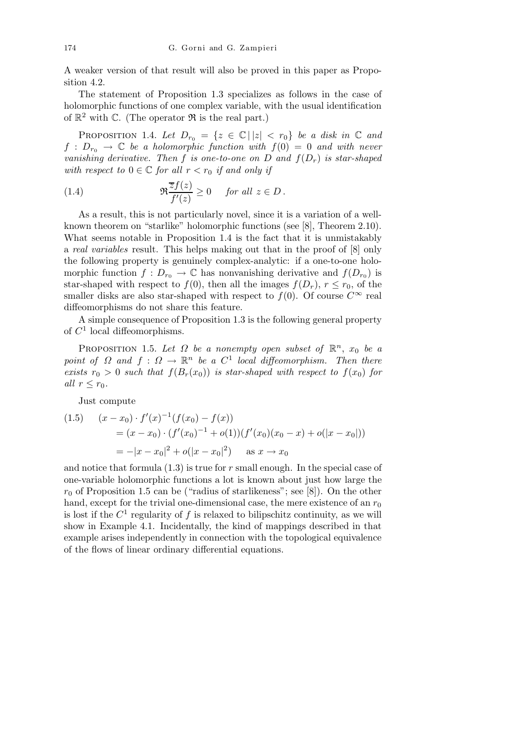A weaker version of that result will also be proved in this paper as Proposition 4.2.

The statement of Proposition 1.3 specializes as follows in the case of holomorphic functions of one complex variable, with the usual identification of  $\mathbb{R}^2$  with C. (The operator  $\Re$  is the real part.)

PROPOSITION 1.4. Let  $D_{r_0} = \{z \in \mathbb{C} \mid |z| < r_0\}$  be a disk in  $\mathbb C$  and  $f : D_{r_0} \to \mathbb{C}$  be a holomorphic function with  $f(0) = 0$  and with never vanishing derivative. Then f is one-to-one on D and  $f(D_r)$  is star-shaped with respect to  $0 \in \mathbb{C}$  for all  $r < r_0$  if and only if

(1.4) 
$$
\Re \frac{\overline{z}f(z)}{f'(z)} \ge 0 \quad \text{for all } z \in D.
$$

As a result, this is not particularly novel, since it is a variation of a wellknown theorem on "starlike" holomorphic functions (see [8], Theorem 2.10). What seems notable in Proposition 1.4 is the fact that it is unmistakably a real variables result. This helps making out that in the proof of [8] only the following property is genuinely complex-analytic: if a one-to-one holomorphic function  $f: D_{r_0} \to \mathbb{C}$  has nonvanishing derivative and  $f(D_{r_0})$  is star-shaped with respect to  $f(0)$ , then all the images  $f(D_r)$ ,  $r \le r_0$ , of the smaller disks are also star-shaped with respect to  $f(0)$ . Of course  $C^{\infty}$  real diffeomorphisms do not share this feature.

A simple consequence of Proposition 1.3 is the following general property of  $C<sup>1</sup>$  local diffeomorphisms.

PROPOSITION 1.5. Let  $\Omega$  be a nonempty open subset of  $\mathbb{R}^n$ ,  $x_0$  be a point of  $\Omega$  and  $f: \Omega \to \mathbb{R}^n$  be a  $C^1$  local diffeomorphism. Then there exists  $r_0 > 0$  such that  $f(B_r(x_0))$  is star-shaped with respect to  $f(x_0)$  for all  $r \leq r_0$ .

Just compute

$$
(1.5) \quad (x - x_0) \cdot f'(x)^{-1}(f(x_0) - f(x))
$$
  
=  $(x - x_0) \cdot (f'(x_0)^{-1} + o(1))(f'(x_0)(x_0 - x) + o(|x - x_0|))$   
=  $-|x - x_0|^2 + o(|x - x_0|^2)$  as  $x \to x_0$ 

and notice that formula  $(1.3)$  is true for r small enough. In the special case of one-variable holomorphic functions a lot is known about just how large the  $r_0$  of Proposition 1.5 can be ("radius of starlikeness"; see [8]). On the other hand, except for the trivial one-dimensional case, the mere existence of an  $r_0$ is lost if the  $C^1$  regularity of f is relaxed to bilipschitz continuity, as we will show in Example 4.1. Incidentally, the kind of mappings described in that example arises independently in connection with the topological equivalence of the flows of linear ordinary differential equations.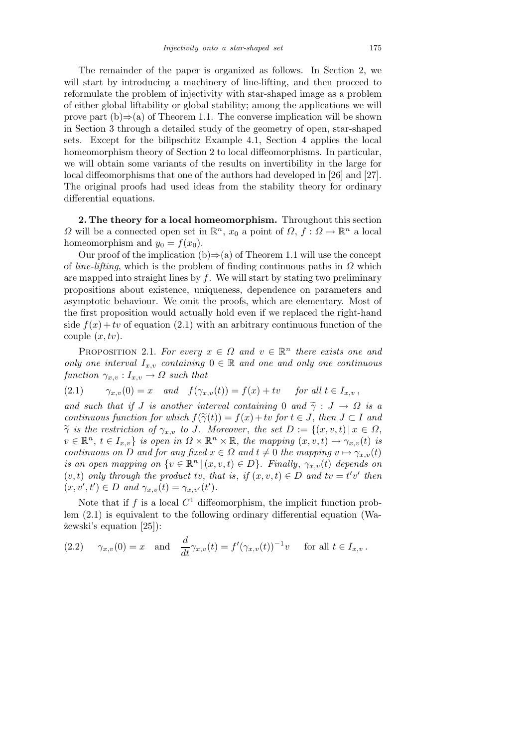The remainder of the paper is organized as follows. In Section 2, we will start by introducing a machinery of line-lifting, and then proceed to reformulate the problem of injectivity with star-shaped image as a problem of either global liftability or global stability; among the applications we will prove part  $(b) \Rightarrow (a)$  of Theorem 1.1. The converse implication will be shown in Section 3 through a detailed study of the geometry of open, star-shaped sets. Except for the bilipschitz Example 4.1, Section 4 applies the local homeomorphism theory of Section 2 to local diffeomorphisms. In particular, we will obtain some variants of the results on invertibility in the large for local diffeomorphisms that one of the authors had developed in [26] and [27]. The original proofs had used ideas from the stability theory for ordinary differential equations.

2. The theory for a local homeomorphism. Throughout this section  $\Omega$  will be a connected open set in  $\mathbb{R}^n$ ,  $x_0$  a point of  $\Omega$ ,  $f: \Omega \to \mathbb{R}^n$  a local homeomorphism and  $y_0 = f(x_0)$ .

Our proof of the implication (b) $\Rightarrow$ (a) of Theorem 1.1 will use the concept of *line-lifting*, which is the problem of finding continuous paths in  $\Omega$  which are mapped into straight lines by  $f$ . We will start by stating two preliminary propositions about existence, uniqueness, dependence on parameters and asymptotic behaviour. We omit the proofs, which are elementary. Most of the first proposition would actually hold even if we replaced the right-hand side  $f(x) + tv$  of equation (2.1) with an arbitrary continuous function of the couple  $(x, tv)$ .

PROPOSITION 2.1. For every  $x \in \Omega$  and  $v \in \mathbb{R}^n$  there exists one and only one interval  $I_{x,v}$  containing  $0 \in \mathbb{R}$  and one and only one continuous function  $\gamma_{x,v}: I_{x,v} \to \Omega$  such that

$$
(2.1) \qquad \gamma_{x,v}(0) = x \quad and \quad f(\gamma_{x,v}(t)) = f(x) + tv \quad \text{ for all } t \in I_{x,v} \,,
$$

and such that if J is another interval containing 0 and  $\tilde{\gamma}$  :  $J \to \Omega$  is a continuous function for which  $f(\tilde{\gamma}(t)) = f(x) + tv$  for  $t \in J$ , then  $J \subset I$  and  $\widetilde{\gamma}$  is the restriction of  $\gamma_{x,v}$  to J. Moreover, the set  $D := \{(x,v,t) | x \in \Omega,$  $v \in \mathbb{R}^n$ ,  $t \in I_{x,v}$  is open in  $\Omega \times \mathbb{R}^n \times \mathbb{R}$ , the mapping  $(x, v, t) \mapsto \gamma_{x,v}(t)$  is continuous on D and for any fixed  $x \in \Omega$  and  $t \neq 0$  the mapping  $v \mapsto \gamma_{x,v}(t)$ is an open mapping on  $\{v \in \mathbb{R}^n \mid (x, v, t) \in D\}$ . Finally,  $\gamma_{x,v}(t)$  depends on  $(v, t)$  only through the product tv, that is, if  $(x, v, t) \in D$  and  $tv = t'v'$  then  $(x, v', t') \in D$  and  $\gamma_{x,v}(t) = \gamma_{x,v'}(t')$ .

Note that if f is a local  $C^1$  diffeomorphism, the implicit function problem (2.1) is equivalent to the following ordinary differential equation (Wa- ˙zewski's equation [25]):

(2.2) 
$$
\gamma_{x,v}(0) = x
$$
 and  $\frac{d}{dt}\gamma_{x,v}(t) = f'(\gamma_{x,v}(t))^{-1}v$  for all  $t \in I_{x,v}$ .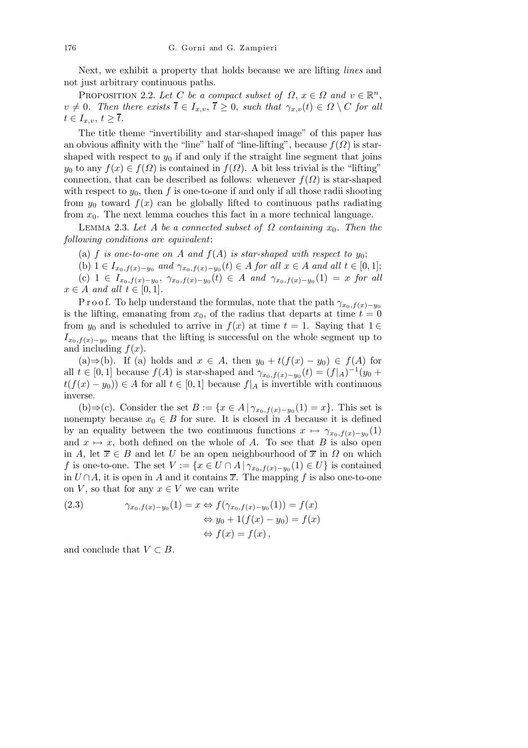Next, we exhibit a property that holds because we are lifting lines and not just arbitrary continuous paths.

PROPOSITION 2.2. Let C be a compact subset of  $\Omega$ ,  $x \in \Omega$  and  $v \in \mathbb{R}^n$ ,  $v \neq 0$ . Then there exists  $\overline{t} \in I_{x,v}$ ,  $\overline{t} \geq 0$ , such that  $\gamma_{x,v}(t) \in \Omega \setminus C$  for all  $t \in I_{x,v}, t \geq t.$ 

The title theme "invertibility and star-shaped image" of this paper has an obvious affinity with the "line" half of "line-lifting", because  $f(\Omega)$  is starshaped with respect to  $y_0$  if and only if the straight line segment that joins  $y_0$  to any  $f(x) \in f(\Omega)$  is contained in  $f(\Omega)$ . A bit less trivial is the "lifting" connection, that can be described as follows: whenever  $f(\Omega)$  is star-shaped with respect to  $y_0$ , then f is one-to-one if and only if all those radii shooting from  $y_0$  toward  $f(x)$  can be globally lifted to continuous paths radiating from  $x_0$ . The next lemma couches this fact in a more technical language.

LEMMA 2.3. Let A be a connected subset of  $\Omega$  containing  $x_0$ . Then the following conditions are equivalent:

(a) f is one-to-one on A and  $f(A)$  is star-shaped with respect to  $y_0$ ;

(b)  $1 \in I_{x_0,f(x)-y_0}$  and  $\gamma_{x_0,f(x)-y_0}(t) \in A$  for all  $x \in A$  and all  $t \in [0,1]$ ;

(c) 1 ∈  $I_{x_0,f(x)-y_0}, \gamma_{x_0,f(x)-y_0}(t)$  ∈ A and  $\gamma_{x_0,f(x)-y_0}(1) = x$  for all  $x \in A$  and all  $t \in [0,1]$ .

P r o o f. To help understand the formulas, note that the path  $\gamma_{x_0,f(x)-y_0}$ is the lifting, emanating from  $x_0$ , of the radius that departs at time  $t = 0$ from  $y_0$  and is scheduled to arrive in  $f(x)$  at time  $t = 1$ . Saying that  $1 \in$  $I_{x_0,f(x)-y_0}$  means that the lifting is successful on the whole segment up to and including  $f(x)$ .

(a)⇒(b). If (a) holds and  $x \in A$ , then  $y_0 + t(f(x) - y_0) \in f(A)$  for all  $t \in [0,1]$  because  $f(A)$  is star-shaped and  $\gamma_{x_0,f(x)-y_0}(t) = (f|_A)^{-1}(y_0 +$  $t(f(x) - y_0) \in A$  for all  $t \in [0,1]$  because  $f|_A$  is invertible with continuous inverse.

(b)⇒(c). Consider the set  $B := \{x \in A \mid \gamma_{x_0,f(x)-y_0}(1) = x\}$ . This set is nonempty because  $x_0 \in B$  for sure. It is closed in A because it is defined by an equality between the two continuous functions  $x \mapsto \gamma_{x_0,f(x)-y_0}(1)$ and  $x \mapsto x$ , both defined on the whole of A. To see that B is also open in A, let  $\overline{x} \in B$  and let U be an open neighbourhood of  $\overline{x}$  in  $\Omega$  on which f is one-to-one. The set  $V := \{x \in U \cap A \mid \gamma_{x_0,f(x)-y_0}(1) \in U\}$  is contained in  $U \cap A$ , it is open in A and it contains  $\overline{x}$ . The mapping f is also one-to-one on V, so that for any  $x \in V$  we can write

(2.3) 
$$
\gamma_{x_0, f(x)-y_0}(1) = x \Leftrightarrow f(\gamma_{x_0, f(x)-y_0}(1)) = f(x)
$$

$$
\Leftrightarrow y_0 + 1(f(x) - y_0) = f(x)
$$

$$
\Leftrightarrow f(x) = f(x),
$$

and conclude that  $V \subset B$ .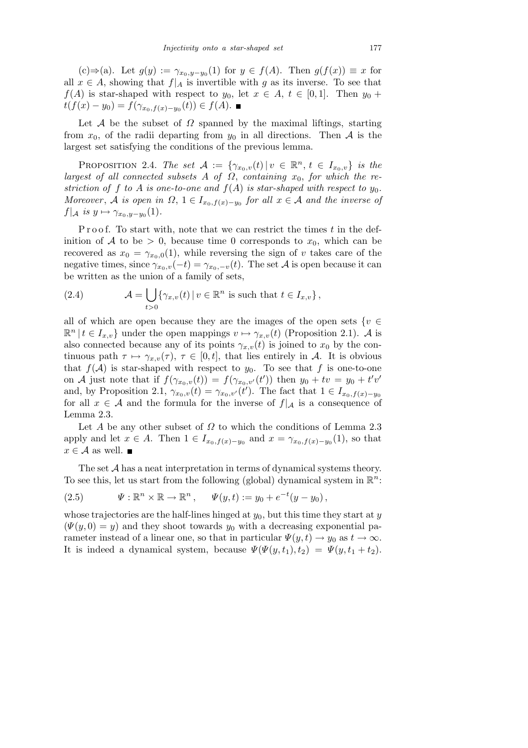$(c) \Rightarrow (a)$ . Let  $g(y) := \gamma_{x_0, y-y_0}(1)$  for  $y \in f(A)$ . Then  $g(f(x)) \equiv x$  for all  $x \in A$ , showing that  $f|_A$  is invertible with g as its inverse. To see that  $f(A)$  is star-shaped with respect to  $y_0$ , let  $x \in A$ ,  $t \in [0,1]$ . Then  $y_0 +$  $t(f(x) - y_0) = f(\gamma_{x_0, f(x) - y_0}(t)) \in f(A).$ 

Let A be the subset of  $\Omega$  spanned by the maximal liftings, starting from  $x_0$ , of the radii departing from  $y_0$  in all directions. Then A is the largest set satisfying the conditions of the previous lemma.

PROPOSITION 2.4. The set  $\mathcal{A} := \{ \gamma_{x_0,v}(t) | v \in \mathbb{R}^n, t \in I_{x_0,v} \}$  is the largest of all connected subsets A of  $\Omega$ , containing  $x_0$ , for which the restriction of f to A is one-to-one and  $f(A)$  is star-shaped with respect to  $y_0$ . Moreover, A is open in  $\Omega$ ,  $1 \in I_{x_0,f(x)-y_0}$  for all  $x \in A$  and the inverse of  $f|_{\mathcal{A}}$  is  $y \mapsto \gamma_{x_0,y-y_0}(1)$ .

P r o o f. To start with, note that we can restrict the times  $t$  in the definition of A to be  $> 0$ , because time 0 corresponds to  $x_0$ , which can be recovered as  $x_0 = \gamma_{x_0,0}(1)$ , while reversing the sign of v takes care of the negative times, since  $\gamma_{x_0,v}(-t) = \gamma_{x_0,-v}(t)$ . The set A is open because it can be written as the union of a family of sets,

(2.4) 
$$
\mathcal{A} = \bigcup_{t>0} \{ \gamma_{x,v}(t) \, | \, v \in \mathbb{R}^n \text{ is such that } t \in I_{x,v} \},
$$

all of which are open because they are the images of the open sets  $\{v \in$  $\mathbb{R}^n \mid t \in I_{x,v}$  under the open mappings  $v \mapsto \gamma_{x,v}(t)$  (Proposition 2.1).  $\mathcal A$  is also connected because any of its points  $\gamma_{x,v}(t)$  is joined to  $x_0$  by the continuous path  $\tau \mapsto \gamma_{x,v}(\tau)$ ,  $\tau \in [0, t]$ , that lies entirely in A. It is obvious that  $f(\mathcal{A})$  is star-shaped with respect to  $y_0$ . To see that f is one-to-one on A just note that if  $f(\gamma_{x_0,v}(t)) = f(\gamma_{x_0,v'}(t'))$  then  $y_0 + tv = y_0 + t'v'$ and, by Proposition 2.1,  $\gamma_{x_0,v}(t) = \gamma_{x_0,v'}(t')$ . The fact that  $1 \in I_{x_0,f(x)-y_0}$ for all  $x \in A$  and the formula for the inverse of  $f|_A$  is a consequence of Lemma 2.3.

Let A be any other subset of  $\Omega$  to which the conditions of Lemma 2.3 apply and let  $x \in A$ . Then  $1 \in I_{x_0,f(x)-y_0}$  and  $x = \gamma_{x_0,f(x)-y_0}(1)$ , so that  $x \in \mathcal{A}$  as well.  $\blacksquare$ 

The set  $A$  has a neat interpretation in terms of dynamical systems theory. To see this, let us start from the following (global) dynamical system in  $\mathbb{R}^n$ :

(2.5) 
$$
\Psi: \mathbb{R}^n \times \mathbb{R} \to \mathbb{R}^n, \quad \Psi(y, t) := y_0 + e^{-t}(y - y_0),
$$

whose trajectories are the half-lines hinged at  $y_0$ , but this time they start at  $y$  $(\Psi(y, 0) = y)$  and they shoot towards  $y_0$  with a decreasing exponential parameter instead of a linear one, so that in particular  $\Psi(y, t) \to y_0$  as  $t \to \infty$ . It is indeed a dynamical system, because  $\Psi(\Psi(y, t_1), t_2) = \Psi(y, t_1 + t_2)$ .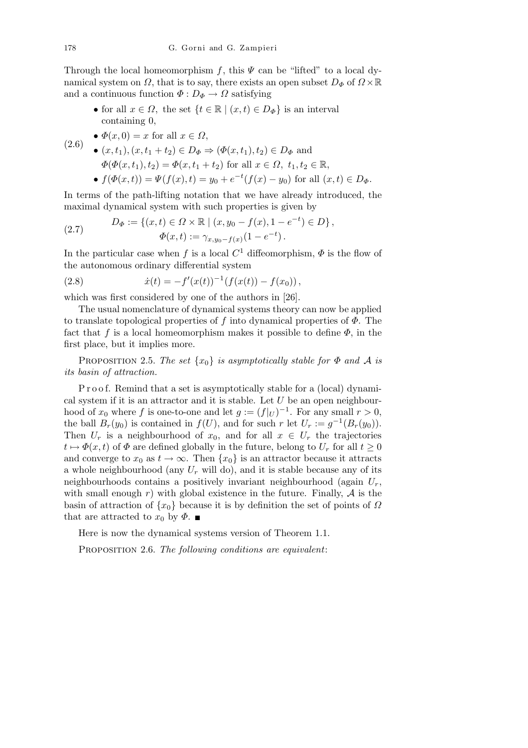Through the local homeomorphism f, this  $\Psi$  can be "lifted" to a local dynamical system on  $\Omega$ , that is to say, there exists an open subset  $D_{\Phi}$  of  $\Omega \times \mathbb{R}$ and a continuous function  $\Phi: D_{\Phi} \to \Omega$  satisfying

- for all  $x \in \Omega$ , the set  $\{t \in \mathbb{R} \mid (x, t) \in D_{\Phi}\}\$ is an interval containing 0,
- $(2.6)$ •  $\Phi(x,0) = x$  for all  $x \in \Omega$ ,

(2.6)   
\n• 
$$
(x, t_1), (x, t_1 + t_2) \in D_{\Phi} \Rightarrow (\Phi(x, t_1), t_2) \in D_{\Phi}
$$
 and  
\n
$$
\Phi(\Phi(x, t_1), t_2) = \Phi(x, t_1 + t_2) \text{ for all } x \in \Omega, t_1, t_2 \in \mathbb{R},
$$
\n•  $f(\Phi(x, t)) = \Psi(f(x), t) = y_0 + e^{-t}(f(x) - y_0) \text{ for all } (x, t) \in D_{\Phi}.$ 

In terms of the path-lifting notation that we have already introduced, the maximal dynamical system with such properties is given by

(2.7) 
$$
D_{\Phi} := \{ (x, t) \in \Omega \times \mathbb{R} \mid (x, y_0 - f(x), 1 - e^{-t}) \in D \},
$$

$$
\Phi(x, t) := \gamma_{x, y_0 - f(x)} (1 - e^{-t}).
$$

In the particular case when f is a local  $C^1$  diffeomorphism,  $\Phi$  is the flow of the autonomous ordinary differential system

(2.8) 
$$
\dot{x}(t) = -f'(x(t))^{-1}(f(x(t)) - f(x_0)),
$$

which was first considered by one of the authors in [26].

The usual nomenclature of dynamical systems theory can now be applied to translate topological properties of f into dynamical properties of  $\Phi$ . The fact that f is a local homeomorphism makes it possible to define  $\Phi$ , in the first place, but it implies more.

PROPOSITION 2.5. The set  $\{x_0\}$  is asymptotically stable for  $\Phi$  and  $\mathcal A$  is its basin of attraction.

P r o o f. Remind that a set is asymptotically stable for a (local) dynamical system if it is an attractor and it is stable. Let  $U$  be an open neighbourhood of  $x_0$  where f is one-to-one and let  $g := (f|_U)^{-1}$ . For any small  $r > 0$ , the ball  $B_r(y_0)$  is contained in  $f(U)$ , and for such r let  $U_r := g^{-1}(B_r(y_0))$ . Then  $U_r$  is a neighbourhood of  $x_0$ , and for all  $x \in U_r$  the trajectories  $t \mapsto \Phi(x, t)$  of  $\Phi$  are defined globally in the future, belong to  $U_r$  for all  $t \geq 0$ and converge to  $x_0$  as  $t \to \infty$ . Then  $\{x_0\}$  is an attractor because it attracts a whole neighbourhood (any  $U_r$  will do), and it is stable because any of its neighbourhoods contains a positively invariant neighbourhood (again  $U_r$ , with small enough r) with global existence in the future. Finally,  $A$  is the basin of attraction of  $\{x_0\}$  because it is by definition the set of points of  $\Omega$ that are attracted to  $x_0$  by  $\Phi$ .

Here is now the dynamical systems version of Theorem 1.1.

PROPOSITION 2.6. The following conditions are equivalent: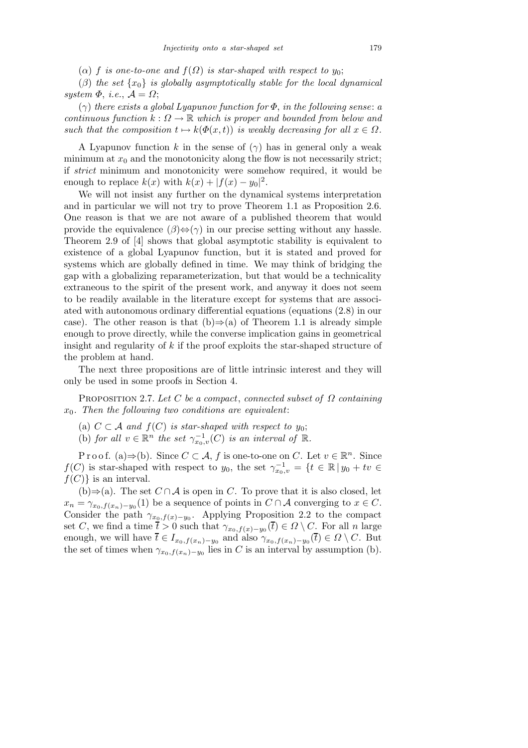$(\alpha)$  f is one-to-one and  $f(\Omega)$  is star-shaped with respect to  $y_0$ ;

(β) the set  $\{x_0\}$  is globally asymptotically stable for the local dynamical system  $\Phi$ , i.e.,  $\mathcal{A} = \Omega$ ;

 $(\gamma)$  there exists a global Lyapunov function for  $\Phi$ , in the following sense: a continuous function  $k : \Omega \to \mathbb{R}$  which is proper and bounded from below and such that the composition  $t \mapsto k(\Phi(x, t))$  is weakly decreasing for all  $x \in \Omega$ .

A Lyapunov function k in the sense of  $(\gamma)$  has in general only a weak minimum at  $x_0$  and the monotonicity along the flow is not necessarily strict; if strict minimum and monotonicity were somehow required, it would be enough to replace  $k(x)$  with  $k(x) + |f(x) - y_0|^2$ .

We will not insist any further on the dynamical systems interpretation and in particular we will not try to prove Theorem 1.1 as Proposition 2.6. One reason is that we are not aware of a published theorem that would provide the equivalence  $(\beta) \Leftrightarrow (\gamma)$  in our precise setting without any hassle. Theorem 2.9 of [4] shows that global asymptotic stability is equivalent to existence of a global Lyapunov function, but it is stated and proved for systems which are globally defined in time. We may think of bridging the gap with a globalizing reparameterization, but that would be a technicality extraneous to the spirit of the present work, and anyway it does not seem to be readily available in the literature except for systems that are associated with autonomous ordinary differential equations (equations (2.8) in our case). The other reason is that  $(b) \Rightarrow (a)$  of Theorem 1.1 is already simple enough to prove directly, while the converse implication gains in geometrical insight and regularity of  $k$  if the proof exploits the star-shaped structure of the problem at hand.

The next three propositions are of little intrinsic interest and they will only be used in some proofs in Section 4.

PROPOSITION 2.7. Let C be a compact, connected subset of  $\Omega$  containing  $x_0$ . Then the following two conditions are equivalent:

- (a)  $C \subset \mathcal{A}$  and  $f(C)$  is star-shaped with respect to  $y_0$ ;
- (b) for all  $v \in \mathbb{R}^n$  the set  $\gamma_{x_0,v}^{-1}(C)$  is an interval of  $\mathbb{R}$ .

Proof. (a) $\Rightarrow$ (b). Since  $C \subset A$ , f is one-to-one on C. Let  $v \in \mathbb{R}^n$ . Since  $f(C)$  is star-shaped with respect to  $y_0$ , the set  $\gamma_{x_0,v}^{-1} = \{t \in \mathbb{R} \mid y_0 + tv \in$  $f(C)$  is an interval.

(b) $\Rightarrow$ (a). The set  $C \cap A$  is open in C. To prove that it is also closed, let  $x_n = \gamma_{x_0,f(x_n)-y_0}(1)$  be a sequence of points in  $C \cap A$  converging to  $x \in C$ . Consider the path  $\gamma_{x_0,f(x)-y_0}$ . Applying Proposition 2.2 to the compact set C, we find a time  $\bar{t} > 0$  such that  $\gamma_{x_0,f(x)-y_0}(\bar{t}) \in \Omega \setminus C$ . For all n large enough, we will have  $\overline{t} \in I_{x_0,f(x_n)-y_0}$  and also  $\gamma_{x_0,f(x_n)-y_0}(\overline{t}) \in \Omega \setminus C$ . But the set of times when  $\gamma_{x_0,f(x_n)-y_0}$  lies in C is an interval by assumption (b).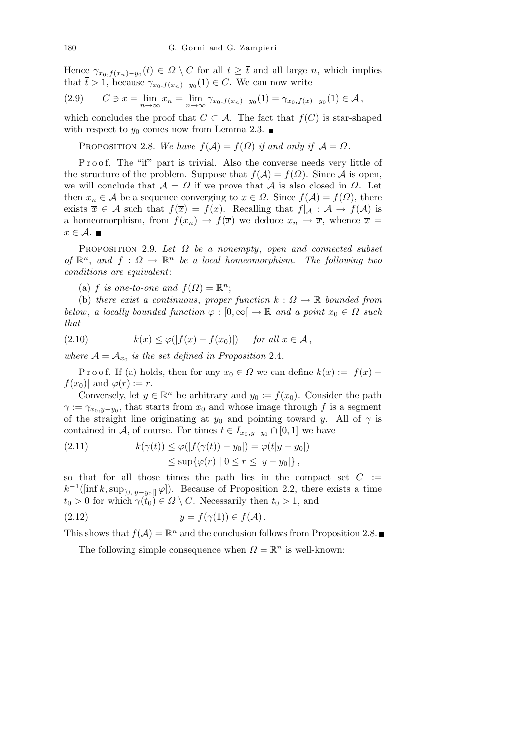Hence  $\gamma_{x_0,f(x_n)-y_0}(t) \in \Omega \setminus C$  for all  $t \geq \overline{t}$  and all large n, which implies that  $\bar{t} > 1$ , because  $\gamma_{x_0,f(x_n)-y_0}(1) \in C$ . We can now write

$$
(2.9) \tC \ni x = \lim_{n \to \infty} x_n = \lim_{n \to \infty} \gamma_{x_0, f(x_n) - y_0}(1) = \gamma_{x_0, f(x) - y_0}(1) \in \mathcal{A},
$$

which concludes the proof that  $C \subset A$ . The fact that  $f(C)$  is star-shaped with respect to  $y_0$  comes now from Lemma 2.3.

PROPOSITION 2.8. We have  $f(A) = f(\Omega)$  if and only if  $A = \Omega$ .

Proof. The "if" part is trivial. Also the converse needs very little of the structure of the problem. Suppose that  $f(\mathcal{A}) = f(\Omega)$ . Since  $\mathcal A$  is open, we will conclude that  $A = \Omega$  if we prove that A is also closed in  $\Omega$ . Let then  $x_n \in A$  be a sequence converging to  $x \in \Omega$ . Since  $f(A) = f(\Omega)$ , there exists  $\overline{x} \in \mathcal{A}$  such that  $f(\overline{x}) = f(x)$ . Recalling that  $f|_{\mathcal{A}} : \mathcal{A} \to f(\mathcal{A})$  is a homeomorphism, from  $f(x_n) \to f(\overline{x})$  we deduce  $x_n \to \overline{x}$ , whence  $\overline{x} =$  $x \in \mathcal{A}$ .

PROPOSITION 2.9. Let  $\Omega$  be a nonempty, open and connected subset of  $\mathbb{R}^n$ , and  $f: \Omega \to \mathbb{R}^n$  be a local homeomorphism. The following two conditions are equivalent:

(a) f is one-to-one and  $f(\Omega) = \mathbb{R}^n$ ;

(b) there exist a continuous, proper function  $k: \Omega \to \mathbb{R}$  bounded from below, a locally bounded function  $\varphi : [0, \infty] \to \mathbb{R}$  and a point  $x_0 \in \Omega$  such that

(2.10) 
$$
k(x) \le \varphi(|f(x) - f(x_0)|) \quad \text{for all } x \in \mathcal{A},
$$

where  $\mathcal{A} = \mathcal{A}_{x_0}$  is the set defined in Proposition 2.4.

P r o o f. If (a) holds, then for any  $x_0 \in \Omega$  we can define  $k(x) := |f(x) - \Omega|$  $f(x_0)|$  and  $\varphi(r) := r$ .

Conversely, let  $y \in \mathbb{R}^n$  be arbitrary and  $y_0 := f(x_0)$ . Consider the path  $\gamma := \gamma_{x_0, y-y_0}$ , that starts from  $x_0$  and whose image through f is a segment of the straight line originating at  $y_0$  and pointing toward y. All of  $\gamma$  is contained in A, of course. For times  $t \in I_{x_0,y-y_0} \cap [0,1]$  we have

(2.11) 
$$
k(\gamma(t)) \leq \varphi(|f(\gamma(t)) - y_0|) = \varphi(t|y - y_0|)
$$

$$
\leq \sup\{\varphi(r) \mid 0 \leq r \leq |y - y_0|\},
$$

so that for all those times the path lies in the compact set  $C :=$  $k^{-1}([\inf k, \sup_{[0,|y-y_0|]}\varphi])$ . Because of Proposition 2.2, there exists a time  $t_0 > 0$  for which  $\gamma(t_0) \in \Omega \setminus C$ . Necessarily then  $t_0 > 1$ , and

$$
(2.12) \t\t y = f(\gamma(1)) \in f(\mathcal{A}).
$$

This shows that  $f(A) = \mathbb{R}^n$  and the conclusion follows from Proposition 2.8.

The following simple consequence when  $\Omega = \mathbb{R}^n$  is well-known: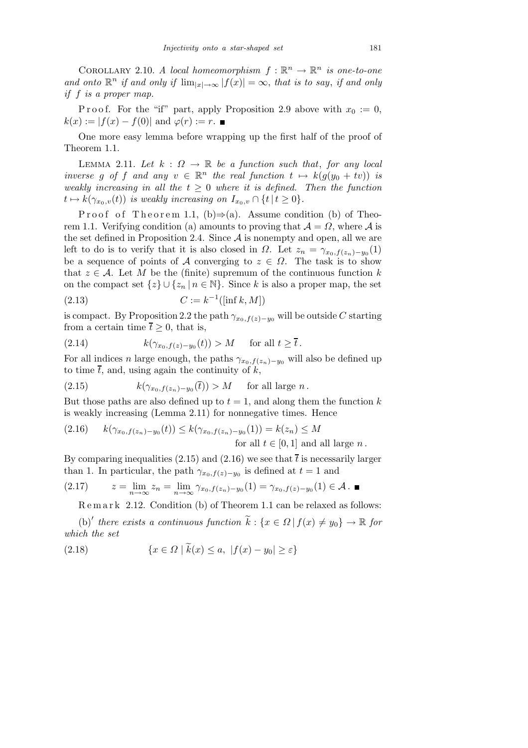COROLLARY 2.10. A local homeomorphism  $f : \mathbb{R}^n \to \mathbb{R}^n$  is one-to-one and onto  $\mathbb{R}^n$  if and only if  $\lim_{|x|\to\infty} |f(x)| = \infty$ , that is to say, if and only if f is a proper map.

P r o o f. For the "if" part, apply P roposition 2.9 above with  $x_0 := 0$ ,  $k(x) := |f(x) - f(0)|$  and  $\varphi(r) := r$ .

One more easy lemma before wrapping up the first half of the proof of Theorem 1.1.

LEMMA 2.11. Let  $k : \Omega \to \mathbb{R}$  be a function such that, for any local inverse g of f and any  $v \in \mathbb{R}^n$  the real function  $t \mapsto k(g(y_0 + tv))$  is weakly increasing in all the  $t \geq 0$  where it is defined. Then the function  $t \mapsto k(\gamma_{x_0,v}(t))$  is weakly increasing on  $I_{x_0,v} \cap \{t \mid t \geq 0\}.$ 

Proof of Theorem 1.1, (b) $\Rightarrow$ (a). Assume condition (b) of Theorem 1.1. Verifying condition (a) amounts to proving that  $\mathcal{A} = \Omega$ , where  $\mathcal{A}$  is the set defined in Proposition 2.4. Since  $A$  is nonempty and open, all we are left to do is to verify that it is also closed in  $\Omega$ . Let  $z_n = \gamma_{x_0,f(z_n)-y_0}(1)$ be a sequence of points of A converging to  $z \in \Omega$ . The task is to show that  $z \in A$ . Let M be the (finite) supremum of the continuous function k on the compact set  $\{z\} \cup \{z_n | n \in \mathbb{N}\}\$ . Since k is also a proper map, the set (2.13)  $C := k^{-1}([\inf k, M])$ 

is compact. By Proposition 2.2 the path  $\gamma_{x_0,f(z)-y_0}$  will be outside C starting from a certain time  $\overline{t} \geq 0$ , that is,

$$
(2.14) \t\t k(\gamma_{x_0,f(z)-y_0}(t)) > M \tfor all t \ge \overline{t}.
$$

For all indices n large enough, the paths  $\gamma_{x_0,f(z_n)-y_0}$  will also be defined up to time  $\overline{t}$ , and, using again the continuity of k,

(2.15) 
$$
k(\gamma_{x_0,f(z_n)-y_0}(\overline{t})) > M \quad \text{for all large } n.
$$

But those paths are also defined up to  $t = 1$ , and along them the function k is weakly increasing (Lemma 2.11) for nonnegative times. Hence

$$
(2.16) \t k(\gamma_{x_0,f(z_n)-y_0}(t)) \le k(\gamma_{x_0,f(z_n)-y_0}(1)) = k(z_n) \le M
$$
  
for all  $t \in [0,1]$  and all large  $n$ .

By comparing inequalities (2.15) and (2.16) we see that  $\bar{t}$  is necessarily larger than 1. In particular, the path  $\gamma_{x_0,f(z)-y_0}$  is defined at  $t=1$  and

$$
(2.17) \t z = \lim_{n \to \infty} z_n = \lim_{n \to \infty} \gamma_{x_0, f(z_n) - y_0}(1) = \gamma_{x_0, f(z) - y_0}(1) \in \mathcal{A}.
$$

Remark 2.12. Condition (b) of Theorem 1.1 can be relaxed as follows:

(b)' there exists a continuous function  $\widetilde{k}: \{x \in \Omega \mid f(x) \neq y_0\} \to \mathbb{R}$  for which the set

$$
(2.18) \qquad \{x \in \Omega \mid k(x) \le a, \ |f(x) - y_0| \ge \varepsilon\}
$$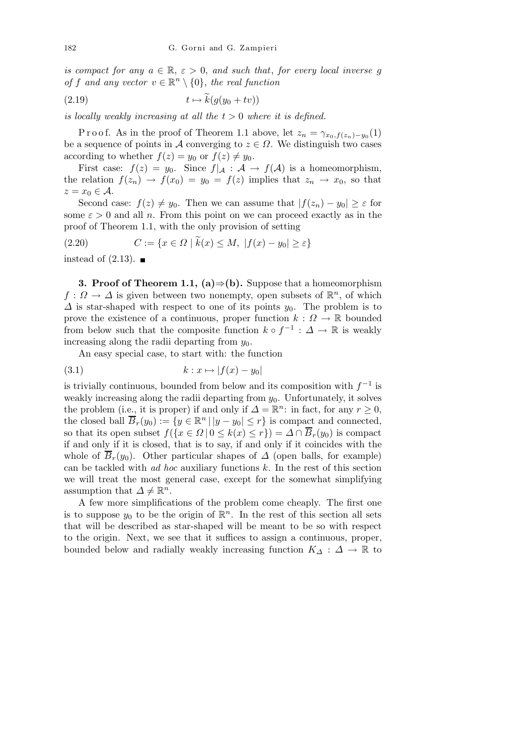is compact for any  $a \in \mathbb{R}$ ,  $\varepsilon > 0$ , and such that, for every local inverse g of f and any vector  $v \in \mathbb{R}^n \setminus \{0\}$ , the real function

$$
(2.19) \t t \mapsto k(g(y_0 + tv))
$$

is locally weakly increasing at all the  $t > 0$  where it is defined.

P r o o f. As in the proof of Theorem 1.1 above, let  $z_n = \gamma_{x_0,f(z_n)-y_0}(1)$ be a sequence of points in A converging to  $z \in \Omega$ . We distinguish two cases according to whether  $f(z) = y_0$  or  $f(z) \neq y_0$ .

First case:  $f(z) = y_0$ . Since  $f|_{\mathcal{A}} : \mathcal{A} \to f(\mathcal{A})$  is a homeomorphism, the relation  $f(z_n) \to f(x_0) = y_0 = f(z)$  implies that  $z_n \to x_0$ , so that  $z = x_0 \in \mathcal{A}$ .

Second case:  $f(z) \neq y_0$ . Then we can assume that  $|f(z_n) - y_0| \geq \varepsilon$  for some  $\varepsilon > 0$  and all n. From this point on we can proceed exactly as in the proof of Theorem 1.1, with the only provision of setting

(2.20) 
$$
C := \{ x \in \Omega \mid k(x) \le M, \ |f(x) - y_0| \ge \varepsilon \}
$$

instead of  $(2.13)$ .

**3. Proof of Theorem 1.1, (a)**  $\Rightarrow$  (b). Suppose that a homeomorphism  $f: \Omega \to \Delta$  is given between two nonempty, open subsets of  $\mathbb{R}^n$ , of which  $\Delta$  is star-shaped with respect to one of its points  $y_0$ . The problem is to prove the existence of a continuous, proper function  $k: \Omega \to \mathbb{R}$  bounded from below such that the composite function  $k \circ f^{-1} : \Delta \to \mathbb{R}$  is weakly increasing along the radii departing from  $y_0$ .

An easy special case, to start with: the function

$$
(3.1) \t\t k: x \mapsto |f(x) - y_0|
$$

is trivially continuous, bounded from below and its composition with  $f^{-1}$  is weakly increasing along the radii departing from  $y_0$ . Unfortunately, it solves the problem (i.e., it is proper) if and only if  $\Delta = \mathbb{R}^n$ : in fact, for any  $r \geq 0$ , the closed ball  $\overline{B}_r(y_0) := \{y \in \mathbb{R}^n \mid |y - y_0| \le r\}$  is compact and connected, so that its open subset  $f(\lbrace x \in \Omega \mid 0 \leq k(x) \leq r \rbrace) = \Delta \cap \overline{B}_r(y_0)$  is compact if and only if it is closed, that is to say, if and only if it coincides with the whole of  $\overline{B}_r(y_0)$ . Other particular shapes of  $\Delta$  (open balls, for example) can be tackled with *ad hoc* auxiliary functions  $k$ . In the rest of this section we will treat the most general case, except for the somewhat simplifying assumption that  $\Delta \neq \mathbb{R}^n$ .

A few more simplifications of the problem come cheaply. The first one is to suppose  $y_0$  to be the origin of  $\mathbb{R}^n$ . In the rest of this section all sets that will be described as star-shaped will be meant to be so with respect to the origin. Next, we see that it suffices to assign a continuous, proper, bounded below and radially weakly increasing function  $K_\Delta : \Delta \to \mathbb{R}$  to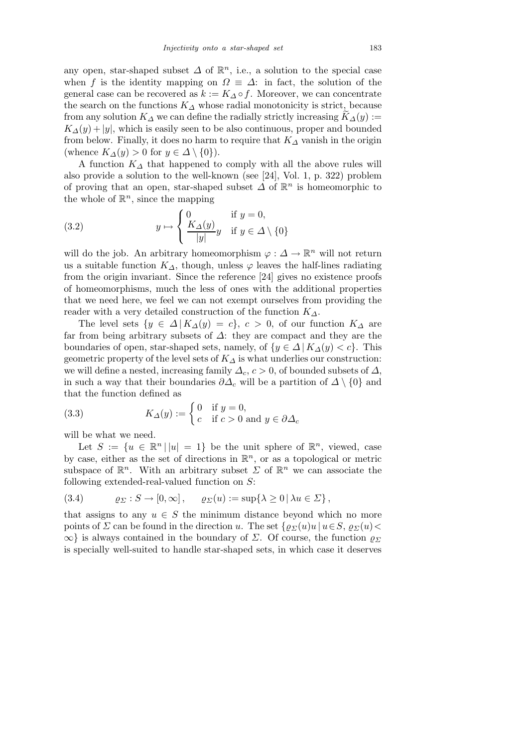any open, star-shaped subset  $\Delta$  of  $\mathbb{R}^n$ , i.e., a solution to the special case when f is the identity mapping on  $\Omega \equiv \Delta$ : in fact, the solution of the general case can be recovered as  $k := K_A \circ f$ . Moreover, we can concentrate the search on the functions  $K_{\Delta}$  whose radial monotonicity is strict, because from any solution  $K_{\Delta}$  we can define the radially strictly increasing  $K_{\Delta}(y) :=$  $K_{\Delta}(y) + |y|$ , which is easily seen to be also continuous, proper and bounded from below. Finally, it does no harm to require that  $K_{\Delta}$  vanish in the origin (whence  $K_{\Delta}(y) > 0$  for  $y \in \Delta \setminus \{0\}$ ).

A function  $K_{\Delta}$  that happened to comply with all the above rules will also provide a solution to the well-known (see [24], Vol. 1, p. 322) problem of proving that an open, star-shaped subset  $\Delta$  of  $\mathbb{R}^n$  is homeomorphic to the whole of  $\mathbb{R}^n$ , since the mapping

(3.2) 
$$
y \mapsto \begin{cases} 0 & \text{if } y = 0, \\ \frac{K_{\Delta}(y)}{|y|}y & \text{if } y \in \Delta \setminus \{0\} \end{cases}
$$

will do the job. An arbitrary homeomorphism  $\varphi : \Delta \to \mathbb{R}^n$  will not return us a suitable function  $K_{\Delta}$ , though, unless  $\varphi$  leaves the half-lines radiating from the origin invariant. Since the reference [24] gives no existence proofs of homeomorphisms, much the less of ones with the additional properties that we need here, we feel we can not exempt ourselves from providing the reader with a very detailed construction of the function  $K_{\Delta}$ .

The level sets  $\{y \in \Delta | K_\Delta(y) = c\}, c > 0$ , of our function  $K_\Delta$  are far from being arbitrary subsets of  $\Delta$ : they are compact and they are the boundaries of open, star-shaped sets, namely, of  $\{y \in \Delta \mid K_\Delta(y) < c\}$ . This geometric property of the level sets of  $K_{\Delta}$  is what underlies our construction: we will define a nested, increasing family  $\Delta_c$ ,  $c > 0$ , of bounded subsets of  $\Delta$ , in such a way that their boundaries  $\partial \Delta_c$  will be a partition of  $\Delta \setminus \{0\}$  and that the function defined as

(3.3) 
$$
K_{\Delta}(y) := \begin{cases} 0 & \text{if } y = 0, \\ c & \text{if } c > 0 \text{ and } y \in \partial \Delta_c \end{cases}
$$

will be what we need.

Let  $S := \{u \in \mathbb{R}^n | |u| = 1\}$  be the unit sphere of  $\mathbb{R}^n$ , viewed, case by case, either as the set of directions in  $\mathbb{R}^n$ , or as a topological or metric subspace of  $\mathbb{R}^n$ . With an arbitrary subset  $\Sigma$  of  $\mathbb{R}^n$  we can associate the following extended-real-valued function on S:

$$
(3.4) \qquad \varrho_{\Sigma}: S \to [0, \infty], \qquad \varrho_{\Sigma}(u) := \sup \{ \lambda \ge 0 \, | \, \lambda u \in \Sigma \},
$$

that assigns to any  $u \in S$  the minimum distance beyond which no more points of  $\Sigma$  can be found in the direction u. The set  $\{\varrho_{\Sigma}(u)u | u \in S, \varrho_{\Sigma}(u)$  $\infty$  is always contained in the boundary of  $\Sigma$ . Of course, the function  $\varrho_{\Sigma}$ is specially well-suited to handle star-shaped sets, in which case it deserves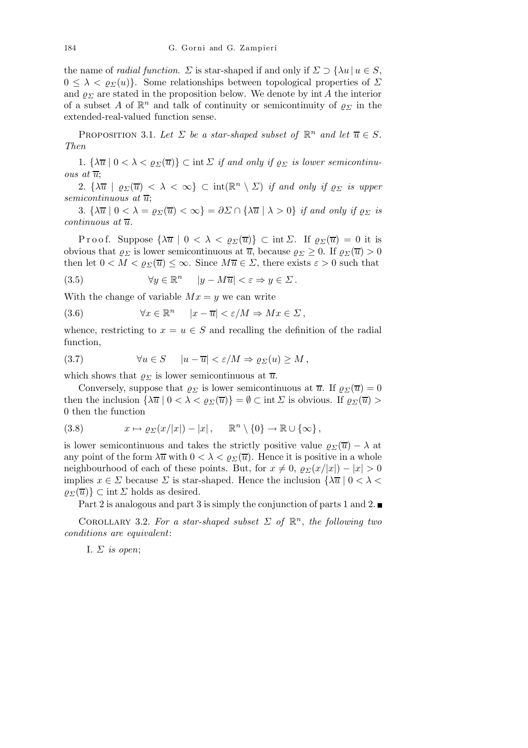the name of *radial function*.  $\Sigma$  is star-shaped if and only if  $\Sigma \supset {\lambda u | u \in S}$ ,  $0 \leq \lambda < \varrho_{\Sigma}(u)$ . Some relationships between topological properties of  $\Sigma$ and  $\rho_{\Sigma}$  are stated in the proposition below. We denote by int A the interior of a subset A of  $\mathbb{R}^n$  and talk of continuity or semicontinuity of  $\varrho_{\Sigma}$  in the extended-real-valued function sense.

PROPOSITION 3.1. Let  $\Sigma$  be a star-shaped subset of  $\mathbb{R}^n$  and let  $\overline{u} \in S$ . Then

1.  $\{\lambda \overline{u} \mid 0 < \lambda < \rho_{\Sigma}(\overline{u})\}$   $\subset$  int  $\Sigma$  *if and only if*  $\rho_{\Sigma}$  *is lower semicontinu*ous at  $\overline{u}$ ;

2.  $\{\lambda \overline{u} \mid \varrho_{\Sigma}(\overline{u}) < \lambda < \infty\} \subset \text{int}(\mathbb{R}^n \setminus \Sigma)$  if and only if  $\varrho_{\Sigma}$  is upper semicontinuous at  $\overline{u}$ ;

3.  $\{\lambda \overline{u} \mid 0 < \lambda = \varrho_{\Sigma}(\overline{u}) < \infty\} = \partial \Sigma \cap {\lambda \overline{u} \mid \lambda > 0}$  if and only if  $\varrho_{\Sigma}$  is  $continuous$  at  $\overline{u}$ .

Proof. Suppose  $\{\lambda \overline{u} \mid 0 < \lambda < \varrho_{\Sigma}(\overline{u})\}$   $\subset$  int  $\Sigma$ . If  $\varrho_{\Sigma}(\overline{u}) = 0$  it is obvious that  $\rho_{\Sigma}$  is lower semicontinuous at  $\overline{u}$ , because  $\rho_{\Sigma} \geq 0$ . If  $\rho_{\Sigma}(\overline{u}) > 0$ then let  $0 < M < \rho_{\Sigma}(\overline{u}) \leq \infty$ . Since  $M\overline{u} \in \Sigma$ , there exists  $\varepsilon > 0$  such that

(3.5) 
$$
\forall y \in \mathbb{R}^n \quad |y - M\overline{u}| < \varepsilon \Rightarrow y \in \Sigma \, .
$$

With the change of variable  $Mx = y$  we can write

(3.6) 
$$
\forall x \in \mathbb{R}^n \quad |x - \overline{u}| < \varepsilon/M \Rightarrow Mx \in \Sigma \,,
$$

whence, restricting to  $x = u \in S$  and recalling the definition of the radial function,

(3.7) 
$$
\forall u \in S \quad |u - \overline{u}| < \varepsilon/M \Rightarrow \varrho_{\Sigma}(u) \geq M,
$$

which shows that  $\rho_{\Sigma}$  is lower semicontinuous at  $\overline{u}$ .

Conversely, suppose that  $\rho_{\Sigma}$  is lower semicontinuous at  $\overline{u}$ . If  $\rho_{\Sigma}(\overline{u}) = 0$ then the inclusion  $\{\lambda \overline{u} \mid 0 < \lambda < \varrho_{\Sigma}(\overline{u})\} = \emptyset \subset \text{int } \Sigma$  is obvious. If  $\varrho_{\Sigma}(\overline{u}) >$ 0 then the function

(3.8) 
$$
x \mapsto \varrho_{\Sigma}(x/|x|) - |x|, \quad \mathbb{R}^n \setminus \{0\} \to \mathbb{R} \cup \{\infty\},
$$

is lower semicontinuous and takes the strictly positive value  $\rho_{\Sigma}(\overline{u}) - \lambda$  at any point of the form  $\lambda \overline{u}$  with  $0 < \lambda < \varrho_{\Sigma}(\overline{u})$ . Hence it is positive in a whole neighbourhood of each of these points. But, for  $x \neq 0$ ,  $\varrho_{\Sigma}(x/|x|) - |x| > 0$ implies  $x \in \Sigma$  because  $\Sigma$  is star-shaped. Hence the inclusion  $\{\lambda \overline{u} \mid 0 \le \lambda \le$  $\rho_{\Sigma}(\overline{u})\}\subset \text{int }\Sigma$  holds as desired.

Part 2 is analogous and part 3 is simply the conjunction of parts 1 and 2.

COROLLARY 3.2. For a star-shaped subset  $\Sigma$  of  $\mathbb{R}^n$ , the following two conditions are equivalent:

I.  $\Sigma$  is open;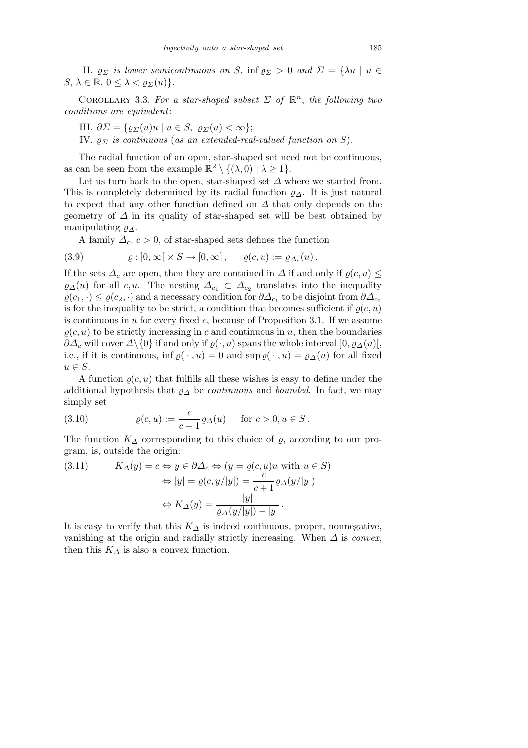II.  $\varrho_{\Sigma}$  is lower semicontinuous on S, inf  $\varrho_{\Sigma} > 0$  and  $\Sigma = {\lambda u \mid u \in \Sigma}$  $S, \lambda \in \mathbb{R}, 0 \leq \lambda < \varrho_{\Sigma}(u) \}.$ 

COROLLARY 3.3. For a star-shaped subset  $\Sigma$  of  $\mathbb{R}^n$ , the following two conditions are equivalent:

III.  $\partial \Sigma = {\varrho_{\Sigma}(u)u \mid u \in S, \ \varrho_{\Sigma}(u) < \infty};$ 

IV.  $\varrho_{\Sigma}$  is continuous (as an extended-real-valued function on S).

The radial function of an open, star-shaped set need not be continuous, as can be seen from the example  $\mathbb{R}^2 \setminus \{(\lambda,0) \mid \lambda \geq 1\}.$ 

Let us turn back to the open, star-shaped set  $\Delta$  where we started from. This is completely determined by its radial function  $\rho_{\Lambda}$ . It is just natural to expect that any other function defined on  $\Delta$  that only depends on the geometry of  $\Delta$  in its quality of star-shaped set will be best obtained by manipulating  $\varrho_{\Delta}$ .

A family  $\Delta_c$ ,  $c > 0$ , of star-shaped sets defines the function

(3.9) 
$$
\varrho: ]0,\infty[\times S \to [0,\infty], \quad \varrho(c,u) := \varrho_{\Delta_c}(u).
$$

If the sets  $\Delta_c$  are open, then they are contained in  $\Delta$  if and only if  $\varrho(c, u) \leq$  $\varrho_{\Delta}(u)$  for all c, u. The nesting  $\Delta_{c_1} \subset \Delta_{c_2}$  translates into the inequality  $\varrho(c_1, \cdot) \leq \varrho(c_2, \cdot)$  and a necessary condition for  $\partial \Delta_{c_1}$  to be disjoint from  $\partial \Delta_{c_2}$ is for the inequality to be strict, a condition that becomes sufficient if  $\rho(c, u)$ is continuous in  $u$  for every fixed  $c$ , because of Proposition 3.1. If we assume  $\rho(c, u)$  to be strictly increasing in c and continuous in u, then the boundaries  $\partial\Delta_c$  will cover  $\Delta\setminus\{0\}$  if and only if  $\varrho(\cdot, u)$  spans the whole interval  $]0, \varrho_{\Delta}(u)[$ , i.e., if it is continuous, inf  $\rho(\cdot, u) = 0$  and sup  $\rho(\cdot, u) = \rho_{\Delta}(u)$  for all fixed  $u \in S$ .

A function  $\rho(c, u)$  that fulfills all these wishes is easy to define under the additional hypothesis that  $\rho_{\Delta}$  be *continuous* and *bounded*. In fact, we may simply set

(3.10) 
$$
\varrho(c, u) := \frac{c}{c + 1} \varrho_{\Delta}(u) \quad \text{for } c > 0, u \in S.
$$

The function  $K_{\Delta}$  corresponding to this choice of  $\varrho$ , according to our program, is, outside the origin:

(3.11) 
$$
K_{\Delta}(y) = c \Leftrightarrow y \in \partial \Delta_c \Leftrightarrow (y = \varrho(c, u)u \text{ with } u \in S)
$$

$$
\Leftrightarrow |y| = \varrho(c, y/|y|) = \frac{c}{c+1} \varrho_{\Delta}(y/|y|)
$$

$$
\Leftrightarrow K_{\Delta}(y) = \frac{|y|}{\varrho_{\Delta}(y/|y|) - |y|}.
$$

It is easy to verify that this  $K_{\Delta}$  is indeed continuous, proper, nonnegative, vanishing at the origin and radially strictly increasing. When  $\Delta$  is convex, then this  $K_{\Delta}$  is also a convex function.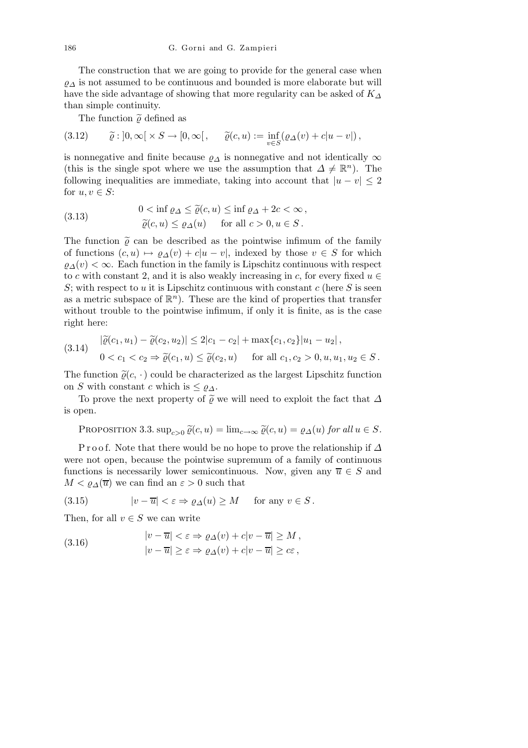The construction that we are going to provide for the general case when  $\varrho_{\Delta}$  is not assumed to be continuous and bounded is more elaborate but will have the side advantage of showing that more regularity can be asked of  $K_{\Delta}$ than simple continuity.

The function  $\tilde{\rho}$  defined as

(3.12) 
$$
\tilde{\varrho}: ]0, \infty[ \times S \to [0, \infty[, \quad \tilde{\varrho}(c, u) := \inf_{v \in S} (\varrho_{\Delta}(v) + c|u - v|),
$$

is nonnegative and finite because  $\varrho_{\Delta}$  is nonnegative and not identically  $\infty$ (this is the single spot where we use the assumption that  $\Delta \neq \mathbb{R}^n$ ). The following inequalities are immediate, taking into account that  $|u - v| \leq 2$ for  $u, v \in S$ :

(3.13) 
$$
0 < \inf \varrho_{\Delta} \leq \tilde{\varrho}(c, u) \leq \inf \varrho_{\Delta} + 2c < \infty,
$$

$$
\tilde{\varrho}(c, u) \leq \varrho_{\Delta}(u) \quad \text{for all } c > 0, u \in S.
$$

The function  $\tilde{\rho}$  can be described as the pointwise infimum of the family of functions  $(c, u) \mapsto \varrho_{\Delta}(v) + c|u - v|$ , indexed by those  $v \in S$  for which  $\varrho_{\Delta}(v) < \infty$ . Each function in the family is Lipschitz continuous with respect to c with constant 2, and it is also weakly increasing in c, for every fixed  $u \in$ S; with respect to u it is Lipschitz continuous with constant  $c$  (here S is seen as a metric subspace of  $\mathbb{R}^n$ ). These are the kind of properties that transfer without trouble to the pointwise infimum, if only it is finite, as is the case right here:

$$
(3.14) \quad |\tilde{\varrho}(c_1, u_1) - \tilde{\varrho}(c_2, u_2)| \le 2|c_1 - c_2| + \max\{c_1, c_2\}|u_1 - u_2|,
$$
  
 
$$
0 < c_1 < c_2 \Rightarrow \tilde{\varrho}(c_1, u) \le \tilde{\varrho}(c_2, u) \quad \text{for all } c_1, c_2 > 0, u, u_1, u_2 \in S.
$$

The function  $\tilde{\varrho}(c, \cdot)$  could be characterized as the largest Lipschitz function on S with constant c which is  $\leq \varrho_{\Delta}$ .

To prove the next property of  $\tilde{\varrho}$  we will need to exploit the fact that  $\Delta$ is open.

PROPOSITION 3.3.  $\sup_{c>0} \widetilde{\varrho}(c, u) = \lim_{c \to \infty} \widetilde{\varrho}(c, u) = \varrho_{\Delta}(u)$  for all  $u \in S$ .

P r o o f. Note that there would be no hope to prove the relationship if  $\Delta$ were not open, because the pointwise supremum of a family of continuous functions is necessarily lower semicontinuous. Now, given any  $\overline{u} \in S$  and  $M < \rho_{\Delta}(\overline{u})$  we can find an  $\varepsilon > 0$  such that

(3.15) 
$$
|v - \overline{u}| < \varepsilon \Rightarrow \varrho_{\Delta}(u) \ge M \quad \text{for any } v \in S.
$$

Then, for all  $v \in S$  we can write

(3.16) 
$$
\begin{aligned}\n|v - \overline{u}| &< \varepsilon \Rightarrow \varrho_{\Delta}(v) + c|v - \overline{u}| \ge M, \\
|v - \overline{u}| &\ge \varepsilon \Rightarrow \varrho_{\Delta}(v) + c|v - \overline{u}| \ge c\varepsilon,\n\end{aligned}
$$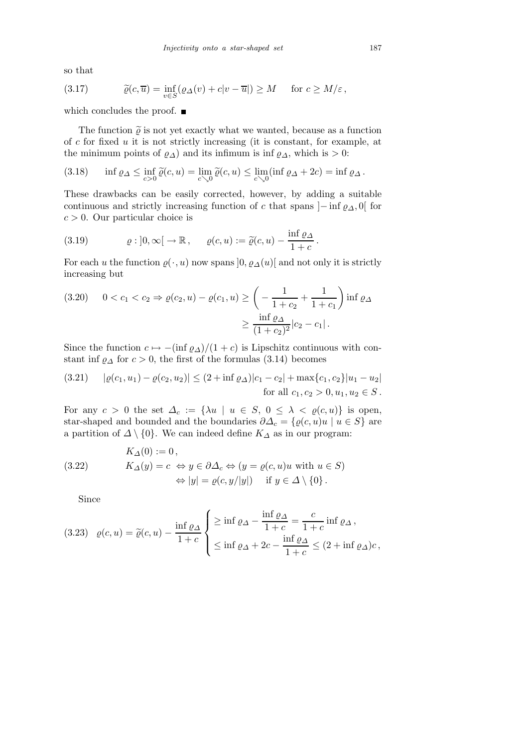so that

(3.17) 
$$
\widetilde{\varrho}(c,\overline{u}) = \inf_{v \in S} (\varrho_{\Delta}(v) + c|v - \overline{u}|) \geq M \quad \text{for } c \geq M/\varepsilon,
$$

which concludes the proof.  $\blacksquare$ 

The function  $\tilde{\varrho}$  is not yet exactly what we wanted, because as a function of  $c$  for fixed  $u$  it is not strictly increasing (it is constant, for example, at the minimum points of  $\varrho_{\Delta}$ ) and its infimum is inf  $\varrho_{\Delta}$ , which is > 0:

(3.18) 
$$
\inf \varrho_{\Delta} \leq \inf_{c>0} \widetilde{\varrho}(c,u) = \lim_{c \searrow 0} \widetilde{\varrho}(c,u) \leq \lim_{c \searrow 0} (\inf \varrho_{\Delta} + 2c) = \inf \varrho_{\Delta}.
$$

These drawbacks can be easily corrected, however, by adding a suitable continuous and strictly increasing function of c that spans  $]-$  inf  $\varrho_{\Delta}$ , 0[ for  $c > 0$ . Our particular choice is

(3.19) 
$$
\varrho: ]0,\infty[ \to \mathbb{R}, \quad \varrho(c,u) := \widetilde{\varrho}(c,u) - \frac{\inf \varrho_{\Delta}}{1+c}.
$$

For each u the function  $\varrho(\cdot, u)$  now spans  $[0, \varrho_A(u)]$  and not only it is strictly increasing but

$$
(3.20) \quad 0 < c_1 < c_2 \Rightarrow \varrho(c_2, u) - \varrho(c_1, u) \ge \left( -\frac{1}{1 + c_2} + \frac{1}{1 + c_1} \right) \inf \varrho_{\Delta}
$$
\n
$$
\ge \frac{\inf \varrho_{\Delta}}{(1 + c_2)^2} |c_2 - c_1|.
$$

Since the function  $c \mapsto -(\inf \varrho_{\Delta})/(1+c)$  is Lipschitz continuous with constant inf  $\varrho_{\Delta}$  for  $c > 0$ , the first of the formulas (3.14) becomes

(3.21) 
$$
|\varrho(c_1, u_1) - \varrho(c_2, u_2)| \le (2 + \inf \varrho_\Delta)|c_1 - c_2| + \max\{c_1, c_2\}|u_1 - u_2|
$$
  
for all  $c_1, c_2 > 0, u_1, u_2 \in S$ .

For any  $c > 0$  the set  $\Delta_c := {\lambda u \mid u \in S, 0 \leq \lambda < \varrho(c, u)}$  is open, star-shaped and bounded and the boundaries  $\partial \Delta_c = \{ \varrho(c, u)u \mid u \in S \}$  are a partition of  $\Delta \setminus \{0\}$ . We can indeed define  $K_{\Delta}$  as in our program:

(3.22) 
$$
K_{\Delta}(0) := 0,
$$

$$
K_{\Delta}(y) = c \Leftrightarrow y \in \partial \Delta_c \Leftrightarrow (y = \varrho(c, u)u \text{ with } u \in S)
$$

$$
\Leftrightarrow |y| = \varrho(c, y/|y|) \quad \text{if } y \in \Delta \setminus \{0\}.
$$

Since

(3.23) 
$$
\varrho(c, u) = \tilde{\varrho}(c, u) - \frac{\inf \varrho_{\Delta}}{1 + c} \begin{cases} \frac{\partial \varrho_{\Delta}}{1 + c} = \frac{c}{1 + c} \inf \varrho_{\Delta}, \\ \frac{\partial \varrho_{\Delta}}{1 + c} = \frac{\inf \varrho_{\Delta}}{1 + c} \leq (2 + \inf \varrho_{\Delta})c, \end{cases}
$$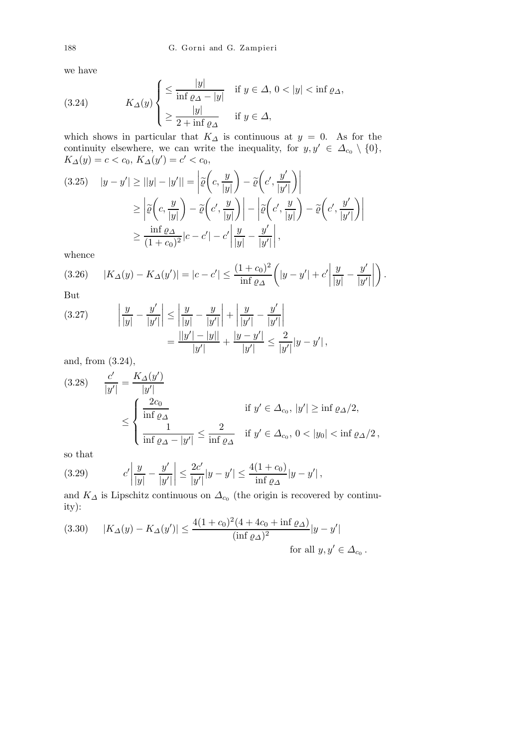we have

(3.24) 
$$
K_{\Delta}(y) \begin{cases} \leq \frac{|y|}{\inf \varrho_{\Delta} - |y|} & \text{if } y \in \Delta, 0 < |y| < \inf \varrho_{\Delta}, \\ \geq \frac{|y|}{2 + \inf \varrho_{\Delta}} & \text{if } y \in \Delta, \end{cases}
$$

which shows in particular that  $K_{\Delta}$  is continuous at  $y = 0$ . As for the continuity elsewhere, we can write the inequality, for  $y, y' \in \Delta_{c_0} \setminus \{0\},\$  $K_{\Delta}(y) = c < c_0, K_{\Delta}(y') = c' < c_0,$ 

(3.25) 
$$
|y - y'| \ge ||y| - |y'|| = \left| \widetilde{\varrho} \left( c, \frac{y}{|y|} \right) - \widetilde{\varrho} \left( c', \frac{y'}{|y'|} \right) \right|
$$

$$
\ge \left| \widetilde{\varrho} \left( c, \frac{y}{|y|} \right) - \widetilde{\varrho} \left( c', \frac{y}{|y|} \right) \right| - \left| \widetilde{\varrho} \left( c', \frac{y}{|y|} \right) - \widetilde{\varrho} \left( c', \frac{y'}{|y'|} \right) \right|
$$

$$
\ge \frac{\inf \varrho \Delta}{(1 + c_0)^2} |c - c'| - c' \left| \frac{y}{|y|} - \frac{y'}{|y'|} \right|,
$$

whence

$$
(3.26) \qquad |K_{\Delta}(y) - K_{\Delta}(y')| = |c - c'| \le \frac{(1 + c_0)^2}{\inf \varrho_{\Delta}} \left( |y - y'| + c' \left| \frac{y}{|y|} - \frac{y'}{|y'|} \right| \right).
$$

But

(3.27) 
$$
\left| \frac{y}{|y|} - \frac{y'}{|y'|} \right| \le \left| \frac{y}{|y|} - \frac{y}{|y'|} \right| + \left| \frac{y}{|y'|} - \frac{y'}{|y'|} \right|
$$

$$
= \frac{||y'| - |y||}{|y'|} + \frac{|y - y'|}{|y'|} \le \frac{2}{|y'|} |y - y'|,
$$

and, from (3.24),

$$
(3.28) \quad \frac{c'}{|y'|} = \frac{K_{\Delta}(y')}{|y'|}
$$
\n
$$
\leq \begin{cases} \frac{2c_0}{\inf \varrho_{\Delta}} & \text{if } y' \in \Delta_{c_0}, |y'| \geq \inf \varrho_{\Delta}/2, \\ \frac{1}{\inf \varrho_{\Delta} - |y'|} \leq \frac{2}{\inf \varrho_{\Delta}} & \text{if } y' \in \Delta_{c_0}, 0 < |y_0| < \inf \varrho_{\Delta}/2, \end{cases}
$$

so that

(3.29) 
$$
c'\left|\frac{y}{|y|} - \frac{y'}{|y'|}\right| \le \frac{2c'}{|y'|} |y - y'| \le \frac{4(1 + c_0)}{\inf \varrho_{\Delta}} |y - y'|,
$$

and  $K_{\Delta}$  is Lipschitz continuous on  $\Delta_{c_0}$  (the origin is recovered by continuity):

.

(3.30) 
$$
|K_{\Delta}(y) - K_{\Delta}(y')| \le \frac{4(1+c_0)^2(4+4c_0+\inf \varrho_{\Delta})}{(\inf \varrho_{\Delta})^2}|y-y'|
$$
  
for all  $y, y' \in \Delta_{c_0}$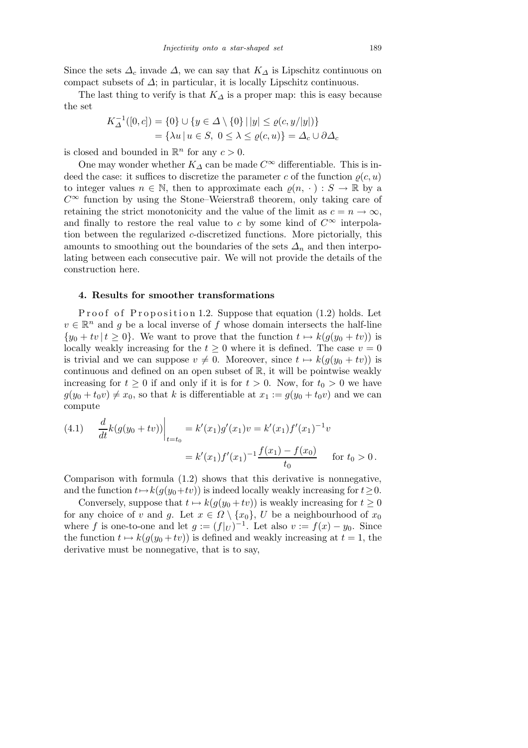Since the sets  $\Delta_c$  invade  $\Delta$ , we can say that  $K_{\Delta}$  is Lipschitz continuous on compact subsets of  $\Delta$ ; in particular, it is locally Lipschitz continuous.

The last thing to verify is that  $K_{\Delta}$  is a proper map: this is easy because the set

$$
K_{\Delta}^{-1}([0, c]) = \{0\} \cup \{y \in \Delta \setminus \{0\} \mid |y| \le \varrho(c, y/|y|)\}
$$
  
=  $\{\lambda u \mid u \in S, 0 \le \lambda \le \varrho(c, u)\} = \Delta_c \cup \partial \Delta_c$ 

is closed and bounded in  $\mathbb{R}^n$  for any  $c > 0$ .

One may wonder whether  $K_{\Delta}$  can be made  $C^{\infty}$  differentiable. This is indeed the case: it suffices to discretize the parameter c of the function  $\rho(c, u)$ to integer values  $n \in \mathbb{N}$ , then to approximate each  $\varrho(n, \cdot) : S \to \mathbb{R}$  by a  $C^{\infty}$  function by using the Stone–Weierstraß theorem, only taking care of retaining the strict monotonicity and the value of the limit as  $c = n \rightarrow \infty$ , and finally to restore the real value to c by some kind of  $C^{\infty}$  interpolation between the regularized  $c$ -discretized functions. More pictorially, this amounts to smoothing out the boundaries of the sets  $\Delta_n$  and then interpolating between each consecutive pair. We will not provide the details of the construction here.

## 4. Results for smoother transformations

Proof of Proposition 1.2. Suppose that equation  $(1.2)$  holds. Let  $v \in \mathbb{R}^n$  and g be a local inverse of f whose domain intersects the half-line  ${y_0 + tv | t \ge 0}$ . We want to prove that the function  $t \mapsto k(q(y_0 + tv))$  is locally weakly increasing for the  $t \geq 0$  where it is defined. The case  $v = 0$ is trivial and we can suppose  $v \neq 0$ . Moreover, since  $t \mapsto k(g(y_0 + tv))$  is continuous and defined on an open subset of  $\mathbb{R}$ , it will be pointwise weakly increasing for  $t \geq 0$  if and only if it is for  $t > 0$ . Now, for  $t_0 > 0$  we have  $g(y_0 + t_0 v) \neq x_0$ , so that k is differentiable at  $x_1 := g(y_0 + t_0 v)$  and we can compute

(4.1) 
$$
\frac{d}{dt}k(g(y_0 + tv))\Big|_{t=t_0} = k'(x_1)g'(x_1)v = k'(x_1)f'(x_1)^{-1}v
$$

$$
= k'(x_1)f'(x_1)^{-1}\frac{f(x_1) - f(x_0)}{t_0} \quad \text{for } t_0 > 0.
$$

Comparison with formula (1.2) shows that this derivative is nonnegative, and the function  $t\mapsto k(q(y_0+tv))$  is indeed locally weakly increasing for  $t\geq 0$ .

Conversely, suppose that  $t \mapsto k(g(y_0 + tv))$  is weakly increasing for  $t \ge 0$ for any choice of v and g. Let  $x \in \Omega \setminus \{x_0\}$ , U be a neighbourhood of  $x_0$ where f is one-to-one and let  $g := (f|_U)^{-1}$ . Let also  $v := f(x) - y_0$ . Since the function  $t \mapsto k(g(y_0 + tv))$  is defined and weakly increasing at  $t = 1$ , the derivative must be nonnegative, that is to say,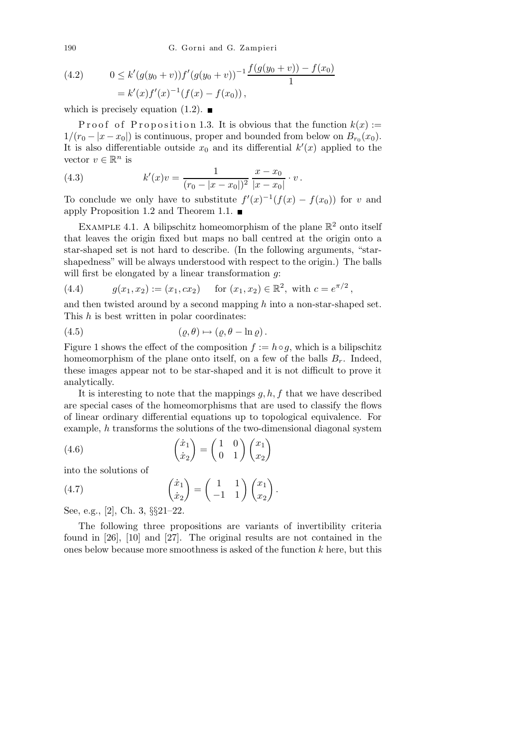190 G. Gorni and G. Zampieri

(4.2) 
$$
0 \le k'(g(y_0 + v))f'(g(y_0 + v))^{-1} \frac{f(g(y_0 + v)) - f(x_0)}{1}
$$

$$
= k'(x)f'(x)^{-1}(f(x) - f(x_0)),
$$

which is precisely equation  $(1.2)$ .

Proof of Proposition 1.3. It is obvious that the function  $k(x) :=$  $1/(r_0 - |x - x_0|)$  is continuous, proper and bounded from below on  $B_{r_0}(x_0)$ . It is also differentiable outside  $x_0$  and its differential  $k'(x)$  applied to the vector  $v \in \mathbb{R}^n$  is

(4.3) 
$$
k'(x)v = \frac{1}{(r_0 - |x - x_0|)^2} \frac{x - x_0}{|x - x_0|} \cdot v.
$$

To conclude we only have to substitute  $f'(x)^{-1}(f(x) - f(x_0))$  for v and apply Proposition 1.2 and Theorem 1.1.

EXAMPLE 4.1. A bilipschitz homeomorphism of the plane  $\mathbb{R}^2$  onto itself that leaves the origin fixed but maps no ball centred at the origin onto a star-shaped set is not hard to describe. (In the following arguments, "starshapedness" will be always understood with respect to the origin.) The balls will first be elongated by a linear transformation  $g$ :

(4.4) 
$$
g(x_1, x_2) := (x_1, cx_2) \quad \text{for } (x_1, x_2) \in \mathbb{R}^2, \text{ with } c = e^{\pi/2},
$$

and then twisted around by a second mapping  $h$  into a non-star-shaped set. This h is best written in polar coordinates:

$$
(4.5) \qquad \qquad (\varrho, \theta) \mapsto (\varrho, \theta - \ln \varrho) \, .
$$

Figure 1 shows the effect of the composition  $f := h \circ g$ , which is a bilipschitz homeomorphism of the plane onto itself, on a few of the balls  $B_r$ . Indeed, these images appear not to be star-shaped and it is not difficult to prove it analytically.

It is interesting to note that the mappings  $g, h, f$  that we have described are special cases of the homeomorphisms that are used to classify the flows of linear ordinary differential equations up to topological equivalence. For example, h transforms the solutions of the two-dimensional diagonal system

(4.6) 
$$
\begin{pmatrix} \dot{x}_1 \\ \dot{x}_2 \end{pmatrix} = \begin{pmatrix} 1 & 0 \\ 0 & 1 \end{pmatrix} \begin{pmatrix} x_1 \\ x_2 \end{pmatrix}
$$

into the solutions of

(4.7) 
$$
\begin{pmatrix} \dot{x}_1 \\ \dot{x}_2 \end{pmatrix} = \begin{pmatrix} 1 & 1 \\ -1 & 1 \end{pmatrix} \begin{pmatrix} x_1 \\ x_2 \end{pmatrix}.
$$

See, e.g., [2], Ch. 3, §§21–22.

The following three propositions are variants of invertibility criteria found in [26], [10] and [27]. The original results are not contained in the ones below because more smoothness is asked of the function  $k$  here, but this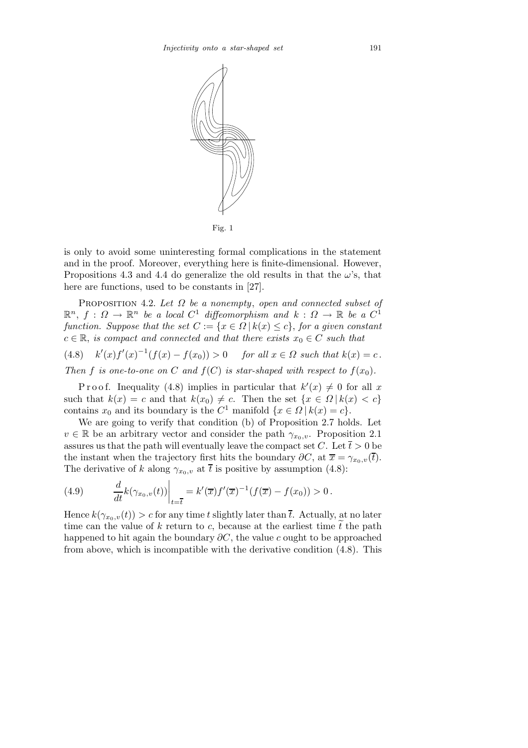

Fig. 1

is only to avoid some uninteresting formal complications in the statement and in the proof. Moreover, everything here is finite-dimensional. However, Propositions 4.3 and 4.4 do generalize the old results in that the  $\omega$ 's, that here are functions, used to be constants in [27].

PROPOSITION 4.2. Let  $\Omega$  be a nonempty, open and connected subset of  $\mathbb{R}^n$ ,  $f: \Omega \to \mathbb{R}^n$  be a local  $C^1$  diffeomorphism and  $k: \Omega \to \mathbb{R}$  be a  $C^1$ function. Suppose that the set  $C := \{x \in \Omega \mid k(x) \leq c\}$ , for a given constant  $c \in \mathbb{R}$ , is compact and connected and that there exists  $x_0 \in C$  such that

(4.8)  $k'(x)f'(x)^{-1}(f(x) - f(x_0)) > 0$  for all  $x \in \Omega$  such that  $k(x) = c$ .

Then f is one-to-one on C and  $f(C)$  is star-shaped with respect to  $f(x_0)$ .

P r o o f. Inequality (4.8) implies in particular that  $k'(x) \neq 0$  for all x such that  $k(x) = c$  and that  $k(x_0) \neq c$ . Then the set  $\{x \in \Omega \, | \, k(x) < c\}$ contains  $x_0$  and its boundary is the  $C^1$  manifold  $\{x \in \Omega \mid k(x) = c\}.$ 

We are going to verify that condition (b) of Proposition 2.7 holds. Let  $v \in \mathbb{R}$  be an arbitrary vector and consider the path  $\gamma_{x_0,v}$ . Proposition 2.1 assures us that the path will eventually leave the compact set C. Let  $\overline{t} > 0$  be the instant when the trajectory first hits the boundary  $\partial C$ , at  $\overline{x} = \gamma_{x_0,v}(\overline{t})$ . The derivative of k along  $\gamma_{x_0,v}$  at  $\bar{t}$  is positive by assumption (4.8):

(4.9) 
$$
\frac{d}{dt}k(\gamma_{x_0,v}(t))\bigg|_{t=\overline{t}} = k'(\overline{x})f'(\overline{x})^{-1}(f(\overline{x})-f(x_0)) > 0.
$$

Hence  $k(\gamma_{x_0,v}(t)) > c$  for any time t slightly later than  $\overline{t}$ . Actually, at no later time can the value of  $k$  return to  $c$ , because at the earliest time  $\tilde{t}$  the path happened to hit again the boundary  $\partial C$ , the value c ought to be approached from above, which is incompatible with the derivative condition (4.8). This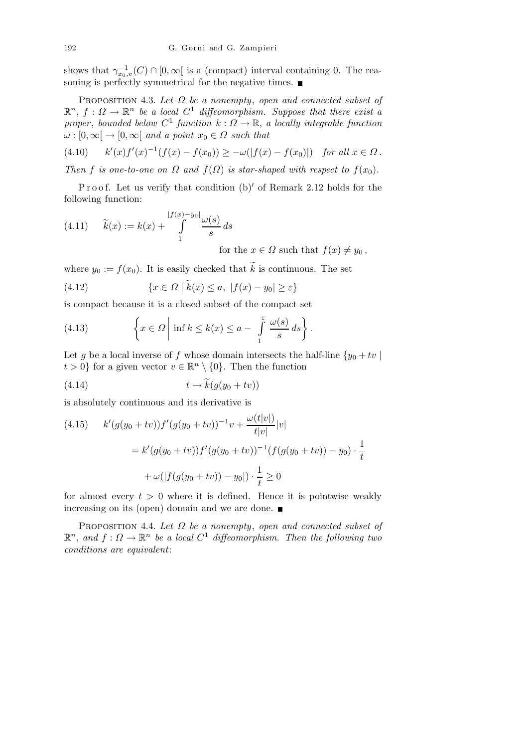shows that  $\gamma_{x_0,v}^{-1}(C) \cap [0,\infty[$  is a (compact) interval containing 0. The reasoning is perfectly symmetrical for the negative times.

PROPOSITION 4.3. Let  $\Omega$  be a nonempty, open and connected subset of  $\mathbb{R}^n$ ,  $f: \Omega \to \mathbb{R}^n$  be a local  $C^1$  diffeomorphism. Suppose that there exist a proper, bounded below  $C^1$  function  $k: \Omega \to \mathbb{R}$ , a locally integrable function  $\omega : [0, \infty] \to [0, \infty]$  and a point  $x_0 \in \Omega$  such that

 $(4.10)$  $\mathcal{L}(x) f'(x)^{-1}(f(x) - f(x_0)) \geq -\omega(|f(x) - f(x_0)|)$  for all  $x \in \Omega$ .

Then f is one-to-one on  $\Omega$  and  $f(\Omega)$  is star-shaped with respect to  $f(x_0)$ .

Proof. Let us verify that condition  $(b)'$  of Remark 2.12 holds for the following function:

(4.11) 
$$
\widetilde{k}(x) := k(x) + \int_{1}^{|f(x) - y_0|} \frac{\omega(s)}{s} ds
$$
  
for the  $x \in \Omega$  such that  $f(x) \neq y_0$ ,

where  $y_0 := f(x_0)$ . It is easily checked that  $\widetilde{k}$  is continuous. The set

(4.12) 
$$
\{x \in \Omega \mid \widetilde{k}(x) \le a, \ |f(x) - y_0| \ge \varepsilon\}
$$

is compact because it is a closed subset of the compact set

(4.13) 
$$
\left\{x \in \Omega \middle| \inf k \leq k(x) \leq a - \int_{1}^{\varepsilon} \frac{\omega(s)}{s} ds \right\}.
$$

Let g be a local inverse of f whose domain intersects the half-line  $\{y_0 + tv\}$  $t > 0$ } for a given vector  $v \in \mathbb{R}^n \setminus \{0\}$ . Then the function

$$
(4.14) \t t \mapsto \widetilde{k}(g(y_0 + tv))
$$

is absolutely continuous and its derivative is

(4.15) 
$$
k'(g(y_0 + tv))f'(g(y_0 + tv))^{-1}v + \frac{\omega(t|v|)}{t|v|}|v|
$$

$$
= k'(g(y_0 + tv))f'(g(y_0 + tv))^{-1}(f(g(y_0 + tv)) - y_0) \cdot \frac{1}{t}
$$

$$
+ \omega(|f(g(y_0 + tv)) - y_0|) \cdot \frac{1}{t} \ge 0
$$

for almost every  $t > 0$  where it is defined. Hence it is pointwise weakly increasing on its (open) domain and we are done.

PROPOSITION 4.4. Let  $\Omega$  be a nonempty, open and connected subset of  $\mathbb{R}^n$ , and  $f: \Omega \to \mathbb{R}^n$  be a local  $C^1$  diffeomorphism. Then the following two conditions are equivalent: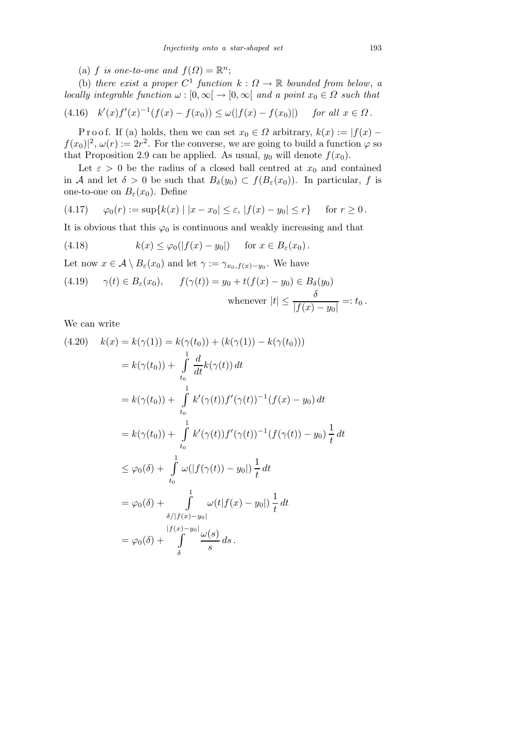(a) f is one-to-one and  $f(\Omega) = \mathbb{R}^n$ ;

(b) there exist a proper  $C^1$  function  $k: \Omega \to \mathbb{R}$  bounded from below, a locally integrable function  $\omega : [0, \infty) \to [0, \infty)$  and a point  $x_0 \in \Omega$  such that

$$
(4.16) \t k'(x)f'(x)^{-1}(f(x) - f(x_0)) \le \omega(|f(x) - f(x_0)|) \t \text{ for all } x \in \Omega.
$$

P r o o f. If (a) holds, then we can set  $x_0 \in \Omega$  arbitrary,  $k(x) := |f(x)$  $f(x_0)|^2$ ,  $\omega(r) := 2r^2$ . For the converse, we are going to build a function  $\varphi$  so that Proposition 2.9 can be applied. As usual,  $y_0$  will denote  $f(x_0)$ .

Let  $\varepsilon > 0$  be the radius of a closed ball centred at  $x_0$  and contained in A and let  $\delta > 0$  be such that  $B_{\delta}(y_0) \subset f(B_{\varepsilon}(x_0))$ . In particular, f is one-to-one on  $B_{\varepsilon}(x_0)$ . Define

(4.17) 
$$
\varphi_0(r) := \sup\{k(x) \mid |x - x_0| \le \varepsilon, |f(x) - y_0| \le r\}
$$
 for  $r \ge 0$ .

It is obvious that this  $\varphi_0$  is continuous and weakly increasing and that

(4.18) 
$$
k(x) \leq \varphi_0(|f(x) - y_0|) \quad \text{for } x \in B_{\varepsilon}(x_0).
$$

Let now  $x \in \mathcal{A} \setminus B_{\varepsilon}(x_0)$  and let  $\gamma := \gamma_{x_0,f(x)-y_0}$ . We have

(4.19) 
$$
\gamma(t) \in B_{\varepsilon}(x_0), \qquad f(\gamma(t)) = y_0 + t(f(x) - y_0) \in B_{\delta}(y_0)
$$
  
whenever  $|t| \le \frac{\delta}{|f(x) - y_0|} =: t_0.$ 

We can write

$$
(4.20) \quad k(x) = k(\gamma(1)) = k(\gamma(t_0)) + (k(\gamma(1)) - k(\gamma(t_0)))
$$
\n
$$
= k(\gamma(t_0)) + \int_{t_0}^1 \frac{d}{dt}k(\gamma(t)) dt
$$
\n
$$
= k(\gamma(t_0)) + \int_{t_0}^1 k'(\gamma(t))f'(\gamma(t))^{-1}(f(x) - y_0) dt
$$
\n
$$
= k(\gamma(t_0)) + \int_{t_0}^1 k'(\gamma(t))f'(\gamma(t))^{-1}(f(\gamma(t)) - y_0) \frac{1}{t} dt
$$
\n
$$
\leq \varphi_0(\delta) + \int_{t_0}^1 \omega(|f(\gamma(t)) - y_0|) \frac{1}{t} dt
$$
\n
$$
= \varphi_0(\delta) + \int_{\delta}^1 \omega(t|f(x) - y_0|) \frac{1}{t} dt
$$
\n
$$
= \varphi_0(\delta) + \int_{\delta}^1 (f(x) - y_0) \frac{1}{t} dt
$$
\n
$$
= \varphi_0(\delta) + \int_{\delta}^1 \frac{d\varphi(s)}{s} ds.
$$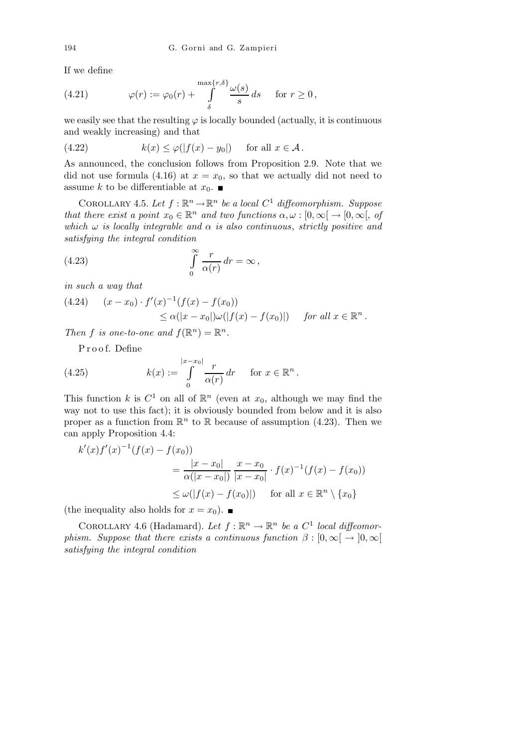If we define

(4.21) 
$$
\varphi(r) := \varphi_0(r) + \int_{\delta}^{\max\{r,\delta\}} \frac{\omega(s)}{s} ds \quad \text{for } r \ge 0,
$$

we easily see that the resulting  $\varphi$  is locally bounded (actually, it is continuous and weakly increasing) and that

(4.22) 
$$
k(x) \le \varphi(|f(x) - y_0|) \quad \text{for all } x \in \mathcal{A}.
$$

As announced, the conclusion follows from Proposition 2.9. Note that we did not use formula (4.16) at  $x = x_0$ , so that we actually did not need to assume  $k$  to be differentiable at  $x_0.$   $\blacksquare$ 

COROLLARY 4.5. Let  $f : \mathbb{R}^n \to \mathbb{R}^n$  be a local  $C^1$  diffeomorphism. Suppose that there exist a point  $x_0 \in \mathbb{R}^n$  and two functions  $\alpha, \omega : [0, \infty) \to [0, \infty)$ , of which  $\omega$  is locally integrable and  $\alpha$  is also continuous, strictly positive and satisfying the integral condition

(4.23) 
$$
\int_{0}^{\infty} \frac{r}{\alpha(r)} dr = \infty,
$$

in such a way that

$$
(4.24) \quad (x-x_0) \cdot f'(x)^{-1}(f(x) - f(x_0))
$$
  
 
$$
\leq \alpha(|x-x_0|)\omega(|f(x) - f(x_0)|) \quad \text{for all } x \in \mathbb{R}^n.
$$

Then f is one-to-one and  $f(\mathbb{R}^n) = \mathbb{R}^n$ .

P r o o f. Define

(4.25) 
$$
k(x) := \int_{0}^{|x-x_0|} \frac{r}{\alpha(r)} dr \quad \text{for } x \in \mathbb{R}^n.
$$

This function k is  $C^1$  on all of  $\mathbb{R}^n$  (even at  $x_0$ , although we may find the way not to use this fact); it is obviously bounded from below and it is also proper as a function from  $\mathbb{R}^n$  to  $\mathbb R$  because of assumption (4.23). Then we can apply Proposition 4.4:

$$
k'(x)f'(x)^{-1}(f(x) - f(x_0))
$$
  
=  $\frac{|x - x_0|}{\alpha(|x - x_0|)} \frac{x - x_0}{|x - x_0|} \cdot f(x)^{-1}(f(x) - f(x_0))$   
 $\leq \omega(|f(x) - f(x_0)|)$  for all  $x \in \mathbb{R}^n \setminus \{x_0\}$ 

(the inequality also holds for  $x = x_0$ ).

COROLLARY 4.6 (Hadamard). Let  $f : \mathbb{R}^n \to \mathbb{R}^n$  be a  $C^1$  local diffeomorphism. Suppose that there exists a continuous function  $\beta : [0, \infty) \rightarrow [0, \infty)$ satisfying the integral condition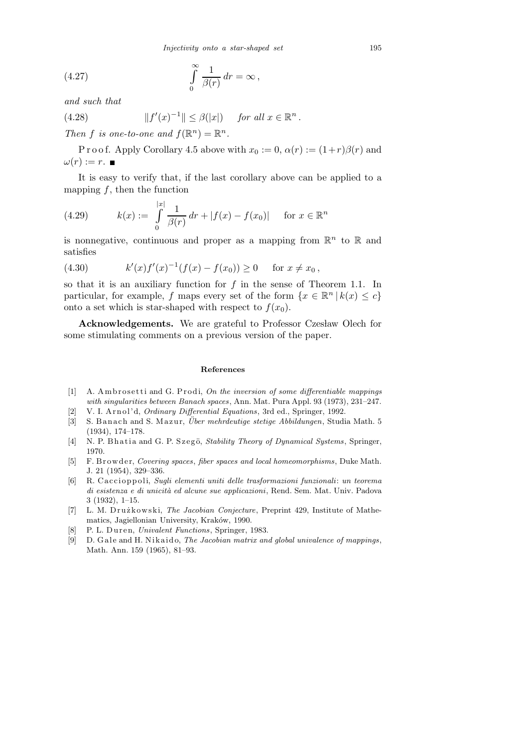*Injectivity onto a star-shaped set* 195

(4.27) 
$$
\int_{0}^{\infty} \frac{1}{\beta(r)} dr = \infty,
$$

and such that

(4.28) 
$$
||f'(x)^{-1}|| \leq \beta(|x|) \quad \text{for all } x \in \mathbb{R}^n.
$$

Then f is one-to-one and  $f(\mathbb{R}^n) = \mathbb{R}^n$ .

P r o o f. Apply Corollary 4.5 above with  $x_0 := 0$ ,  $\alpha(r) := (1+r)\beta(r)$  and  $\omega(r) := r$ .

It is easy to verify that, if the last corollary above can be applied to a mapping  $f$ , then the function

(4.29) 
$$
k(x) := \int_{0}^{|x|} \frac{1}{\beta(r)} dr + |f(x) - f(x_0)| \quad \text{for } x \in \mathbb{R}^n
$$

is nonnegative, continuous and proper as a mapping from  $\mathbb{R}^n$  to  $\mathbb R$  and satisfies

(4.30) 
$$
k'(x)f'(x)^{-1}(f(x) - f(x_0)) \ge 0 \quad \text{for } x \neq x_0,
$$

so that it is an auxiliary function for  $f$  in the sense of Theorem 1.1. In particular, for example, f maps every set of the form  $\{x \in \mathbb{R}^n \mid k(x) \leq c\}$ onto a set which is star-shaped with respect to  $f(x_0)$ .

Acknowledgements. We are grateful to Professor Czesław Olech for some stimulating comments on a previous version of the paper.

## **References**

- [1] A. Am b rose tti and G. P rodi, *On the inversion of some differentiable mappings with singularities between Banach spaces*, Ann. Mat. Pura Appl. 93 (1973), 231–247.
- [2] V. I. A r n ol' d, *Ordinary Differential Equations*, 3rd ed., Springer, 1992.
- [3] S. Banach and S. Mazur, *Über mehrdeutige stetige Abbildungen*, Studia Math. 5 (1934), 174–178.
- [4] N. P. Bh a ti a and G. P. Szegö, *Stability Theory of Dynamical Systems*, Springer, 1970.
- [5] F. B rowder, *Covering spaces*, *fiber spaces and local homeomorphisms*, Duke Math. J. 21 (1954), 329–336.
- [6] R. C a c ci o p p oli, *Sugli elementi uniti delle trasformazioni funzionali*: *un teorema di esistenza e di unicit`a ed alcune sue applicazioni*, Rend. Sem. Mat. Univ. Padova 3 (1932), 1–15.
- [7] L. M. Drużkowski, *The Jacobian Conjecture*, Preprint 429, Institute of Mathematics, Jagiellonian University, Kraków, 1990.
- [8] P. L. Duren, *Univalent Functions*, Springer, 1983.
- [9] D. Gale and H. Nikaido, *The Jacobian matrix and global univalence of mappings*, Math. Ann. 159 (1965), 81–93.